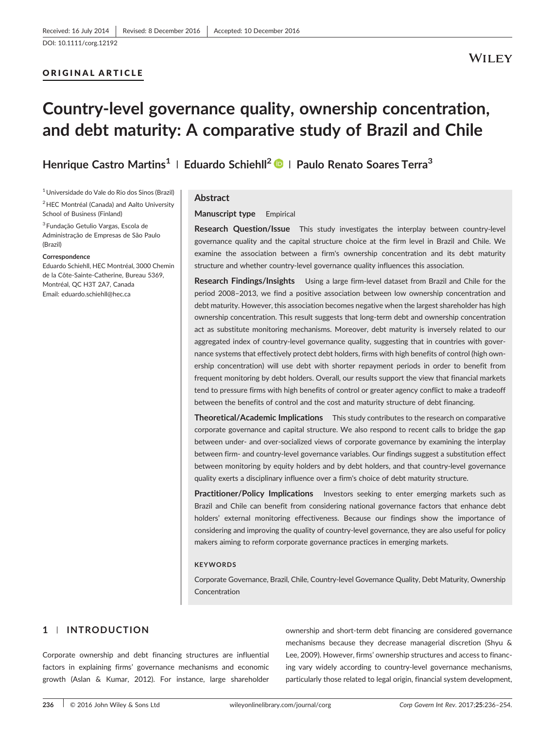## ORIGINAL ARTICLE

# Country‐level governance quality, ownership concentration, and debt maturity: A comparative study of Brazil and Chile

Henrique Castro Martins<sup>1</sup> | Eduardo Schiehll<sup>2</sup> | Paulo Renato Soares Terra<sup>3</sup>

1Universidade do Vale do Rio dos Sinos (Brazil)

<sup>2</sup> HEC Montréal (Canada) and Aalto University School of Business (Finland)

<sup>3</sup> Fundação Getulio Vargas, Escola de Administração de Empresas de São Paulo (Brazil)

#### Correspondence

Eduardo Schiehll, HEC Montréal, 3000 Chemin de la Côte‐Sainte‐Catherine, Bureau 5369, Montréal, QC H3T 2A7, Canada Email: [eduardo.schiehll@hec.ca](mailto:eduardo.schiehll@hec.ca)

## Abstract

Manuscript type Empirical

Research Question/Issue This study investigates the interplay between country-level governance quality and the capital structure choice at the firm level in Brazil and Chile. We examine the association between a firm's ownership concentration and its debt maturity structure and whether country‐level governance quality influences this association.

Research Findings/Insights Using a large firm-level dataset from Brazil and Chile for the period 2008–2013, we find a positive association between low ownership concentration and debt maturity. However, this association becomes negative when the largest shareholder has high ownership concentration. This result suggests that long‐term debt and ownership concentration act as substitute monitoring mechanisms. Moreover, debt maturity is inversely related to our aggregated index of country-level governance quality, suggesting that in countries with governance systems that effectively protect debt holders, firms with high benefits of control (high ownership concentration) will use debt with shorter repayment periods in order to benefit from frequent monitoring by debt holders. Overall, our results support the view that financial markets tend to pressure firms with high benefits of control or greater agency conflict to make a tradeoff between the benefits of control and the cost and maturity structure of debt financing.

Theoretical/Academic Implications This study contributes to the research on comparative corporate governance and capital structure. We also respond to recent calls to bridge the gap between under‐ and over‐socialized views of corporate governance by examining the interplay between firm- and country-level governance variables. Our findings suggest a substitution effect between monitoring by equity holders and by debt holders, and that country-level governance quality exerts a disciplinary influence over a firm's choice of debt maturity structure.

Practitioner/Policy Implications Investors seeking to enter emerging markets such as Brazil and Chile can benefit from considering national governance factors that enhance debt holders' external monitoring effectiveness. Because our findings show the importance of considering and improving the quality of country‐level governance, they are also useful for policy makers aiming to reform corporate governance practices in emerging markets.

#### **KEYWORDS**

Corporate Governance, Brazil, Chile, Country‐level Governance Quality, Debt Maturity, Ownership Concentration

# 1 | INTRODUCTION

Corporate ownership and debt financing structures are influential factors in explaining firms' governance mechanisms and economic growth (Aslan & Kumar, 2012). For instance, large shareholder ownership and short‐term debt financing are considered governance mechanisms because they decrease managerial discretion (Shyu & Lee, 2009). However, firms' ownership structures and access to financing vary widely according to country‐level governance mechanisms, particularly those related to legal origin, financial system development,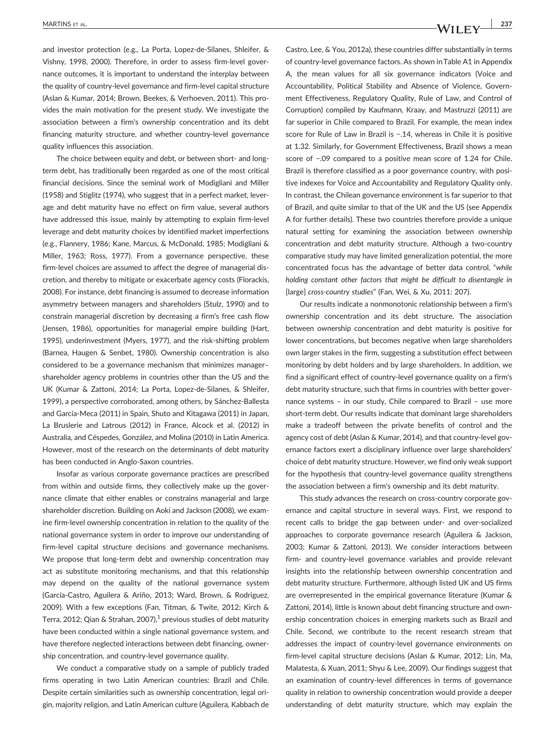and investor protection (e.g., La Porta, Lopez‐de‐Silanes, Shleifer, & Vishny, 1998, 2000). Therefore, in order to assess firm‐level governance outcomes, it is important to understand the interplay between the quality of country‐level governance and firm‐level capital structure (Aslan & Kumar, 2014; Brown, Beekes, & Verhoeven, 2011). This provides the main motivation for the present study. We investigate the association between a firm's ownership concentration and its debt financing maturity structure, and whether country‐level governance quality influences this association.

The choice between equity and debt, or between short- and longterm debt, has traditionally been regarded as one of the most critical financial decisions. Since the seminal work of Modigliani and Miller (1958) and Stiglitz (1974), who suggest that in a perfect market, leverage and debt maturity have no effect on firm value, several authors have addressed this issue, mainly by attempting to explain firm‐level leverage and debt maturity choices by identified market imperfections (e.g., Flannery, 1986; Kane, Marcus, & McDonald, 1985; Modigliani & Miller, 1963; Ross, 1977). From a governance perspective, these firm‐level choices are assumed to affect the degree of managerial discretion, and thereby to mitigate or exacerbate agency costs (Florackis, 2008). For instance, debt financing is assumed to decrease information asymmetry between managers and shareholders (Stulz, 1990) and to constrain managerial discretion by decreasing a firm's free cash flow (Jensen, 1986), opportunities for managerial empire building (Hart, 1995), underinvestment (Myers, 1977), and the risk‐shifting problem (Barnea, Haugen & Senbet, 1980). Ownership concentration is also considered to be a governance mechanism that minimizes manager– shareholder agency problems in countries other than the US and the UK (Kumar & Zattoni, 2014; La Porta, Lopez‐de‐Silanes, & Shleifer, 1999), a perspective corroborated, among others, by Sánchez‐Ballesta and García‐Meca (2011) in Spain, Shuto and Kitagawa (2011) in Japan, La Bruslerie and Latrous (2012) in France, Alcock et al. (2012) in Australia, and Céspedes, González, and Molina (2010) in Latin America. However, most of the research on the determinants of debt maturity has been conducted in Anglo‐Saxon countries.

Insofar as various corporate governance practices are prescribed from within and outside firms, they collectively make up the governance climate that either enables or constrains managerial and large shareholder discretion. Building on Aoki and Jackson (2008), we examine firm‐level ownership concentration in relation to the quality of the national governance system in order to improve our understanding of firm-level capital structure decisions and governance mechanisms. We propose that long-term debt and ownership concentration may act as substitute monitoring mechanisms, and that this relationship may depend on the quality of the national governance system (García‐Castro, Aguilera & Ariño, 2013; Ward, Brown, & Rodriguez, 2009). With a few exceptions (Fan, Titman, & Twite, 2012; Kirch & Terra, 2012; Qian & Strahan, 2007), $<sup>1</sup>$  previous studies of debt maturity</sup> have been conducted within a single national governance system, and have therefore neglected interactions between debt financing, ownership concentration, and country‐level governance quality.

We conduct a comparative study on a sample of publicly traded firms operating in two Latin American countries: Brazil and Chile. Despite certain similarities such as ownership concentration, legal origin, majority religion, and Latin American culture (Aguilera, Kabbach de

Castro, Lee, & You, 2012a), these countries differ substantially in terms of country‐level governance factors. As shown in Table A1 in Appendix A, the mean values for all six governance indicators (Voice and Accountability, Political Stability and Absence of Violence, Government Effectiveness, Regulatory Quality, Rule of Law, and Control of Corruption) compiled by Kaufmann, Kraay, and Mastruzzi (2011) are far superior in Chile compared to Brazil. For example, the mean index score for Rule of Law in Brazil is −.14, whereas in Chile it is positive at 1.32. Similarly, for Government Effectiveness, Brazil shows a mean score of −.09 compared to a positive mean score of 1.24 for Chile. Brazil is therefore classified as a poor governance country, with positive indexes for Voice and Accountability and Regulatory Quality only. In contrast, the Chilean governance environment is far superior to that of Brazil, and quite similar to that of the UK and the US (see Appendix A for further details). These two countries therefore provide a unique natural setting for examining the association between ownership concentration and debt maturity structure. Although a two-country comparative study may have limited generalization potential, the more concentrated focus has the advantage of better data control, "while holding constant other factors that might be difficult to disentangle in [large] cross-country studies" (Fan, Wei, & Xu, 2011: 207).

Our results indicate a nonmonotonic relationship between a firm's ownership concentration and its debt structure. The association between ownership concentration and debt maturity is positive for lower concentrations, but becomes negative when large shareholders own larger stakes in the firm, suggesting a substitution effect between monitoring by debt holders and by large shareholders. In addition, we find a significant effect of country-level governance quality on a firm's debt maturity structure, such that firms in countries with better governance systems – in our study, Chile compared to Brazil – use more short-term debt. Our results indicate that dominant large shareholders make a tradeoff between the private benefits of control and the agency cost of debt (Aslan & Kumar, 2014), and that country‐level governance factors exert a disciplinary influence over large shareholders' choice of debt maturity structure. However, we find only weak support for the hypothesis that country-level governance quality strengthens the association between a firm's ownership and its debt maturity.

This study advances the research on cross‐country corporate governance and capital structure in several ways. First, we respond to recent calls to bridge the gap between under‐ and over‐socialized approaches to corporate governance research (Aguilera & Jackson, 2003; Kumar & Zattoni, 2013). We consider interactions between firm‐ and country‐level governance variables and provide relevant insights into the relationship between ownership concentration and debt maturity structure. Furthermore, although listed UK and US firms are overrepresented in the empirical governance literature (Kumar & Zattoni, 2014), little is known about debt financing structure and ownership concentration choices in emerging markets such as Brazil and Chile. Second, we contribute to the recent research stream that addresses the impact of country‐level governance environments on firm‐level capital structure decisions (Aslan & Kumar, 2012; Lin, Ma, Malatesta, & Xuan, 2011; Shyu & Lee, 2009). Our findings suggest that an examination of country‐level differences in terms of governance quality in relation to ownership concentration would provide a deeper understanding of debt maturity structure, which may explain the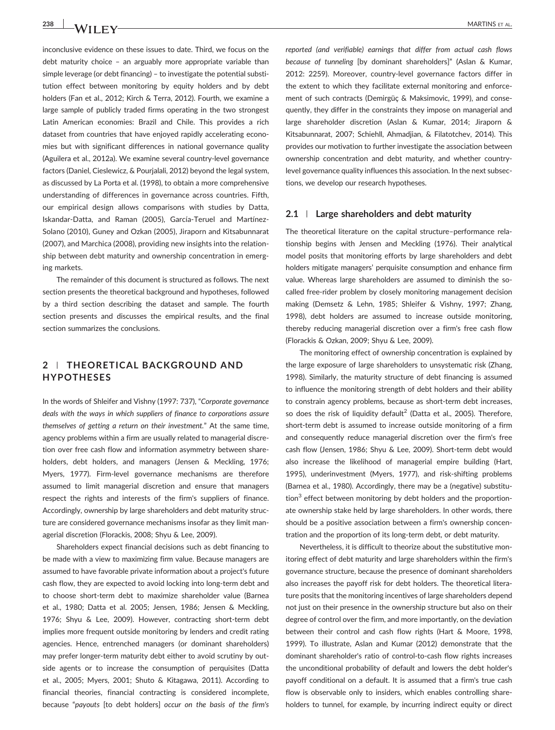inconclusive evidence on these issues to date. Third, we focus on the debt maturity choice – an arguably more appropriate variable than simple leverage (or debt financing) – to investigate the potential substitution effect between monitoring by equity holders and by debt holders (Fan et al., 2012; Kirch & Terra, 2012). Fourth, we examine a large sample of publicly traded firms operating in the two strongest Latin American economies: Brazil and Chile. This provides a rich dataset from countries that have enjoyed rapidly accelerating economies but with significant differences in national governance quality (Aguilera et al., 2012a). We examine several country‐level governance factors (Daniel, Cieslewicz, & Pourjalali, 2012) beyond the legal system, as discussed by La Porta et al. (1998), to obtain a more comprehensive understanding of differences in governance across countries. Fifth, our empirical design allows comparisons with studies by Datta, Iskandar‐Datta, and Raman (2005), García‐Teruel and Martínez‐ Solano (2010), Guney and Ozkan (2005), Jiraporn and Kitsabunnarat (2007), and Marchica (2008), providing new insights into the relationship between debt maturity and ownership concentration in emerging markets.

The remainder of this document is structured as follows. The next section presents the theoretical background and hypotheses, followed by a third section describing the dataset and sample. The fourth section presents and discusses the empirical results, and the final section summarizes the conclusions.

# 2 | THEORETICAL BACKGROUND AND HYPOTHESES

In the words of Shleifer and Vishny (1997: 737), "Corporate governance deals with the ways in which suppliers of finance to corporations assure themselves of getting a return on their investment." At the same time, agency problems within a firm are usually related to managerial discretion over free cash flow and information asymmetry between shareholders, debt holders, and managers (Jensen & Meckling, 1976; Myers, 1977). Firm‐level governance mechanisms are therefore assumed to limit managerial discretion and ensure that managers respect the rights and interests of the firm's suppliers of finance. Accordingly, ownership by large shareholders and debt maturity structure are considered governance mechanisms insofar as they limit managerial discretion (Florackis, 2008; Shyu & Lee, 2009).

Shareholders expect financial decisions such as debt financing to be made with a view to maximizing firm value. Because managers are assumed to have favorable private information about a project's future cash flow, they are expected to avoid locking into long‐term debt and to choose short‐term debt to maximize shareholder value (Barnea et al., 1980; Datta et al. 2005; Jensen, 1986; Jensen & Meckling, 1976; Shyu & Lee, 2009). However, contracting short-term debt implies more frequent outside monitoring by lenders and credit rating agencies. Hence, entrenched managers (or dominant shareholders) may prefer longer-term maturity debt either to avoid scrutiny by outside agents or to increase the consumption of perquisites (Datta et al., 2005; Myers, 2001; Shuto & Kitagawa, 2011). According to financial theories, financial contracting is considered incomplete, because "payouts [to debt holders] occur on the basis of the firm's reported (and verifiable) earnings that differ from actual cash flows because of tunneling [by dominant shareholders]" (Aslan & Kumar, 2012: 2259). Moreover, country‐level governance factors differ in the extent to which they facilitate external monitoring and enforcement of such contracts (Demirgüç & Maksimovic, 1999), and consequently, they differ in the constraints they impose on managerial and large shareholder discretion (Aslan & Kumar, 2014; Jiraporn & Kitsabunnarat, 2007; Schiehll, Ahmadjian, & Filatotchev, 2014). This provides our motivation to further investigate the association between ownership concentration and debt maturity, and whether country‐ level governance quality influences this association. In the next subsections, we develop our research hypotheses.

#### 2.1 | Large shareholders and debt maturity

The theoretical literature on the capital structure–performance relationship begins with Jensen and Meckling (1976). Their analytical model posits that monitoring efforts by large shareholders and debt holders mitigate managers' perquisite consumption and enhance firm value. Whereas large shareholders are assumed to diminish the socalled free-rider problem by closely monitoring management decision making (Demsetz & Lehn, 1985; Shleifer & Vishny, 1997; Zhang, 1998), debt holders are assumed to increase outside monitoring, thereby reducing managerial discretion over a firm's free cash flow (Florackis & Ozkan, 2009; Shyu & Lee, 2009).

The monitoring effect of ownership concentration is explained by the large exposure of large shareholders to unsystematic risk (Zhang, 1998). Similarly, the maturity structure of debt financing is assumed to influence the monitoring strength of debt holders and their ability to constrain agency problems, because as short‐term debt increases, so does the risk of liquidity default<sup>2</sup> (Datta et al., 2005). Therefore, short-term debt is assumed to increase outside monitoring of a firm and consequently reduce managerial discretion over the firm's free cash flow (Jensen, 1986; Shyu & Lee, 2009). Short‐term debt would also increase the likelihood of managerial empire building (Hart, 1995), underinvestment (Myers, 1977), and risk‐shifting problems (Barnea et al., 1980). Accordingly, there may be a (negative) substitution<sup>3</sup> effect between monitoring by debt holders and the proportionate ownership stake held by large shareholders. In other words, there should be a positive association between a firm's ownership concentration and the proportion of its long‐term debt, or debt maturity.

Nevertheless, it is difficult to theorize about the substitutive monitoring effect of debt maturity and large shareholders within the firm's governance structure, because the presence of dominant shareholders also increases the payoff risk for debt holders. The theoretical literature posits that the monitoring incentives of large shareholders depend not just on their presence in the ownership structure but also on their degree of control over the firm, and more importantly, on the deviation between their control and cash flow rights (Hart & Moore, 1998, 1999). To illustrate, Aslan and Kumar (2012) demonstrate that the dominant shareholder's ratio of control‐to‐cash flow rights increases the unconditional probability of default and lowers the debt holder's payoff conditional on a default. It is assumed that a firm's true cash flow is observable only to insiders, which enables controlling shareholders to tunnel, for example, by incurring indirect equity or direct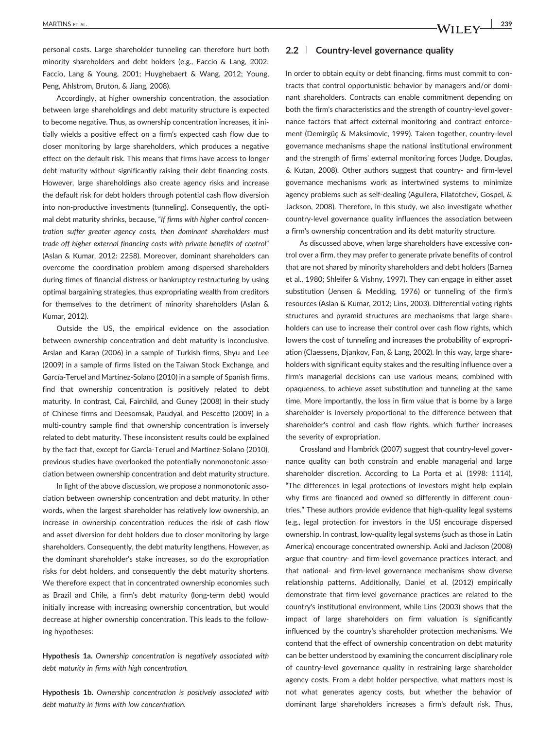personal costs. Large shareholder tunneling can therefore hurt both minority shareholders and debt holders (e.g., Faccio & Lang, 2002; Faccio, Lang & Young, 2001; Huyghebaert & Wang, 2012; Young, Peng, Ahlstrom, Bruton, & Jiang, 2008).

Accordingly, at higher ownership concentration, the association between large shareholdings and debt maturity structure is expected to become negative. Thus, as ownership concentration increases, it initially wields a positive effect on a firm's expected cash flow due to closer monitoring by large shareholders, which produces a negative effect on the default risk. This means that firms have access to longer debt maturity without significantly raising their debt financing costs. However, large shareholdings also create agency risks and increase the default risk for debt holders through potential cash flow diversion into non‐productive investments (tunneling). Consequently, the optimal debt maturity shrinks, because, "If firms with higher control concentration suffer greater agency costs, then dominant shareholders must trade off higher external financing costs with private benefits of control" (Aslan & Kumar, 2012: 2258). Moreover, dominant shareholders can overcome the coordination problem among dispersed shareholders during times of financial distress or bankruptcy restructuring by using optimal bargaining strategies, thus expropriating wealth from creditors for themselves to the detriment of minority shareholders (Aslan & Kumar, 2012).

Outside the US, the empirical evidence on the association between ownership concentration and debt maturity is inconclusive. Arslan and Karan (2006) in a sample of Turkish firms, Shyu and Lee (2009) in a sample of firms listed on the Taiwan Stock Exchange, and García‐Teruel and Martínez‐Solano (2010) in a sample of Spanish firms, find that ownership concentration is positively related to debt maturity. In contrast, Cai, Fairchild, and Guney (2008) in their study of Chinese firms and Deesomsak, Paudyal, and Pescetto (2009) in a multi-country sample find that ownership concentration is inversely related to debt maturity. These inconsistent results could be explained by the fact that, except for García‐Teruel and Martínez‐Solano (2010), previous studies have overlooked the potentially nonmonotonic association between ownership concentration and debt maturity structure.

In light of the above discussion, we propose a nonmonotonic association between ownership concentration and debt maturity. In other words, when the largest shareholder has relatively low ownership, an increase in ownership concentration reduces the risk of cash flow and asset diversion for debt holders due to closer monitoring by large shareholders. Consequently, the debt maturity lengthens. However, as the dominant shareholder's stake increases, so do the expropriation risks for debt holders, and consequently the debt maturity shortens. We therefore expect that in concentrated ownership economies such as Brazil and Chile, a firm's debt maturity (long‐term debt) would initially increase with increasing ownership concentration, but would decrease at higher ownership concentration. This leads to the following hypotheses:

Hypothesis 1a. Ownership concentration is negatively associated with debt maturity in firms with high concentration.

Hypothesis 1b. Ownership concentration is positively associated with debt maturity in firms with low concentration.

## 2.2 | Country-level governance quality

In order to obtain equity or debt financing, firms must commit to contracts that control opportunistic behavior by managers and/or dominant shareholders. Contracts can enable commitment depending on both the firm's characteristics and the strength of country‐level governance factors that affect external monitoring and contract enforcement (Demirgüç & Maksimovic, 1999). Taken together, country‐level governance mechanisms shape the national institutional environment and the strength of firms' external monitoring forces (Judge, Douglas, & Kutan, 2008). Other authors suggest that country‐ and firm‐level governance mechanisms work as intertwined systems to minimize agency problems such as self‐dealing (Aguilera, Filatotchev, Gospel, & Jackson, 2008). Therefore, in this study, we also investigate whether country‐level governance quality influences the association between a firm's ownership concentration and its debt maturity structure.

As discussed above, when large shareholders have excessive control over a firm, they may prefer to generate private benefits of control that are not shared by minority shareholders and debt holders (Barnea et al., 1980; Shleifer & Vishny, 1997). They can engage in either asset substitution (Jensen & Meckling, 1976) or tunneling of the firm's resources (Aslan & Kumar, 2012; Lins, 2003). Differential voting rights structures and pyramid structures are mechanisms that large shareholders can use to increase their control over cash flow rights, which lowers the cost of tunneling and increases the probability of expropriation (Claessens, Djankov, Fan, & Lang, 2002). In this way, large shareholders with significant equity stakes and the resulting influence over a firm's managerial decisions can use various means, combined with opaqueness, to achieve asset substitution and tunneling at the same time. More importantly, the loss in firm value that is borne by a large shareholder is inversely proportional to the difference between that shareholder's control and cash flow rights, which further increases the severity of expropriation.

Crossland and Hambrick (2007) suggest that country‐level governance quality can both constrain and enable managerial and large shareholder discretion. According to La Porta et al. (1998: 1114), "The differences in legal protections of investors might help explain why firms are financed and owned so differently in different countries." These authors provide evidence that high‐quality legal systems (e.g., legal protection for investors in the US) encourage dispersed ownership. In contrast, low‐quality legal systems (such as those in Latin America) encourage concentrated ownership. Aoki and Jackson (2008) argue that country‐ and firm‐level governance practices interact, and that national‐ and firm‐level governance mechanisms show diverse relationship patterns. Additionally, Daniel et al. (2012) empirically demonstrate that firm‐level governance practices are related to the country's institutional environment, while Lins (2003) shows that the impact of large shareholders on firm valuation is significantly influenced by the country's shareholder protection mechanisms. We contend that the effect of ownership concentration on debt maturity can be better understood by examining the concurrent disciplinary role of country‐level governance quality in restraining large shareholder agency costs. From a debt holder perspective, what matters most is not what generates agency costs, but whether the behavior of dominant large shareholders increases a firm's default risk. Thus,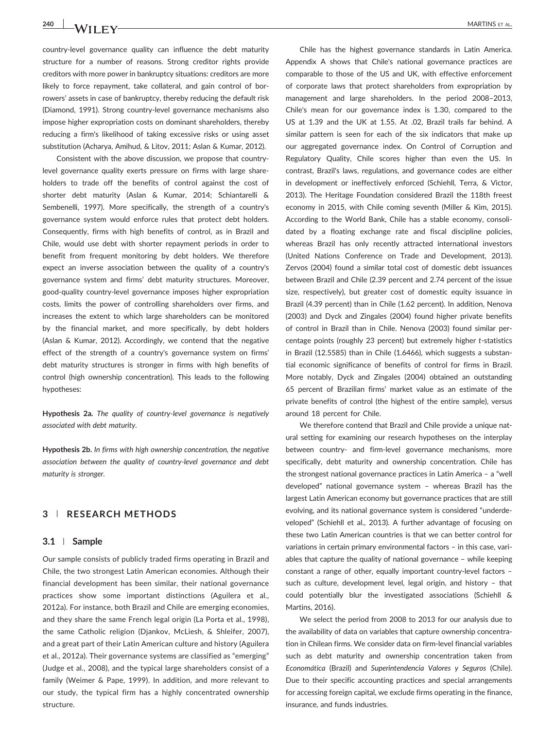country‐level governance quality can influence the debt maturity structure for a number of reasons. Strong creditor rights provide creditors with more power in bankruptcy situations: creditors are more likely to force repayment, take collateral, and gain control of borrowers' assets in case of bankruptcy, thereby reducing the default risk (Diamond, 1991). Strong country‐level governance mechanisms also impose higher expropriation costs on dominant shareholders, thereby reducing a firm's likelihood of taking excessive risks or using asset substitution (Acharya, Amihud, & Litov, 2011; Aslan & Kumar, 2012).

Consistent with the above discussion, we propose that country‐ level governance quality exerts pressure on firms with large shareholders to trade off the benefits of control against the cost of shorter debt maturity (Aslan & Kumar, 2014; Schiantarelli & Sembenelli, 1997). More specifically, the strength of a country's governance system would enforce rules that protect debt holders. Consequently, firms with high benefits of control, as in Brazil and Chile, would use debt with shorter repayment periods in order to benefit from frequent monitoring by debt holders. We therefore expect an inverse association between the quality of a country's governance system and firms' debt maturity structures. Moreover, good‐quality country‐level governance imposes higher expropriation costs, limits the power of controlling shareholders over firms, and increases the extent to which large shareholders can be monitored by the financial market, and more specifically, by debt holders (Aslan & Kumar, 2012). Accordingly, we contend that the negative effect of the strength of a country's governance system on firms' debt maturity structures is stronger in firms with high benefits of control (high ownership concentration). This leads to the following hypotheses:

Hypothesis 2a. The quality of country-level governance is negatively associated with debt maturity.

Hypothesis 2b. In firms with high ownership concentration, the negative association between the quality of country‐level governance and debt maturity is stronger.

# 3 | RESEARCH METHODS

#### 3.1 | Sample

Our sample consists of publicly traded firms operating in Brazil and Chile, the two strongest Latin American economies. Although their financial development has been similar, their national governance practices show some important distinctions (Aguilera et al., 2012a). For instance, both Brazil and Chile are emerging economies, and they share the same French legal origin (La Porta et al., 1998), the same Catholic religion (Djankov, McLiesh, & Shleifer, 2007), and a great part of their Latin American culture and history (Aguilera et al., 2012a). Their governance systems are classified as "emerging" (Judge et al., 2008), and the typical large shareholders consist of a family (Weimer & Pape, 1999). In addition, and more relevant to our study, the typical firm has a highly concentrated ownership structure.

Chile has the highest governance standards in Latin America. Appendix A shows that Chile's national governance practices are comparable to those of the US and UK, with effective enforcement of corporate laws that protect shareholders from expropriation by management and large shareholders. In the period 2008–2013, Chile's mean for our governance index is 1.30, compared to the US at 1.39 and the UK at 1.55. At .02, Brazil trails far behind. A similar pattern is seen for each of the six indicators that make up our aggregated governance index. On Control of Corruption and Regulatory Quality, Chile scores higher than even the US. In contrast, Brazil's laws, regulations, and governance codes are either in development or ineffectively enforced (Schiehll, Terra, & Victor, 2013). The Heritage Foundation considered Brazil the 118th freest economy in 2015, with Chile coming seventh (Miller & Kim, 2015). According to the World Bank, Chile has a stable economy, consolidated by a floating exchange rate and fiscal discipline policies, whereas Brazil has only recently attracted international investors (United Nations Conference on Trade and Development, 2013). Zervos (2004) found a similar total cost of domestic debt issuances between Brazil and Chile (2.39 percent and 2.74 percent of the issue size, respectively), but greater cost of domestic equity issuance in Brazil (4.39 percent) than in Chile (1.62 percent). In addition, Nenova (2003) and Dyck and Zingales (2004) found higher private benefits of control in Brazil than in Chile. Nenova (2003) found similar percentage points (roughly 23 percent) but extremely higher t‐statistics in Brazil (12.5585) than in Chile (1.6466), which suggests a substantial economic significance of benefits of control for firms in Brazil. More notably, Dyck and Zingales (2004) obtained an outstanding 65 percent of Brazilian firms' market value as an estimate of the private benefits of control (the highest of the entire sample), versus around 18 percent for Chile.

We therefore contend that Brazil and Chile provide a unique natural setting for examining our research hypotheses on the interplay between country- and firm-level governance mechanisms, more specifically, debt maturity and ownership concentration. Chile has the strongest national governance practices in Latin America – a "well developed" national governance system – whereas Brazil has the largest Latin American economy but governance practices that are still evolving, and its national governance system is considered "underdeveloped" (Schiehll et al., 2013). A further advantage of focusing on these two Latin American countries is that we can better control for variations in certain primary environmental factors – in this case, variables that capture the quality of national governance – while keeping constant a range of other, equally important country‐level factors – such as culture, development level, legal origin, and history – that could potentially blur the investigated associations (Schiehll & Martins, 2016).

We select the period from 2008 to 2013 for our analysis due to the availability of data on variables that capture ownership concentration in Chilean firms. We consider data on firm‐level financial variables such as debt maturity and ownership concentration taken from Economática (Brazil) and Superintendencia Valores y Seguros (Chile). Due to their specific accounting practices and special arrangements for accessing foreign capital, we exclude firms operating in the finance, insurance, and funds industries.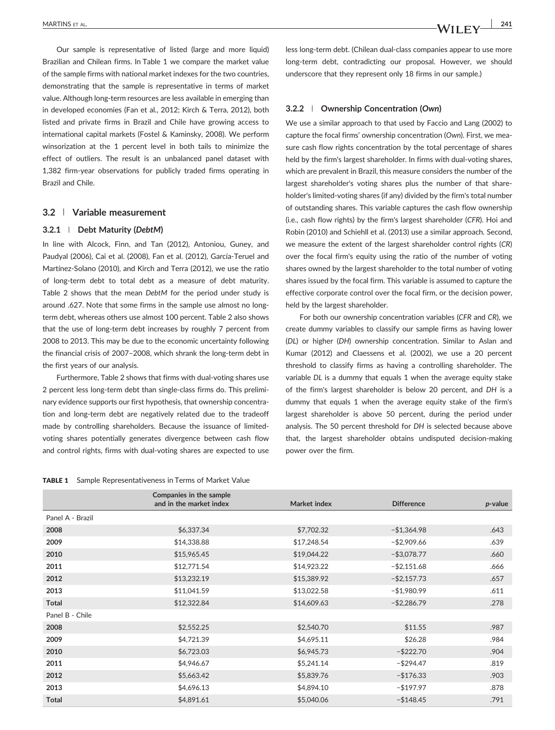Our sample is representative of listed (large and more liquid) Brazilian and Chilean firms. In Table 1 we compare the market value of the sample firms with national market indexes for the two countries, demonstrating that the sample is representative in terms of market value. Although long‐term resources are less available in emerging than in developed economies (Fan et al., 2012; Kirch & Terra, 2012), both listed and private firms in Brazil and Chile have growing access to international capital markets (Fostel & Kaminsky, 2008). We perform winsorization at the 1 percent level in both tails to minimize the effect of outliers. The result is an unbalanced panel dataset with 1,382 firm‐year observations for publicly traded firms operating in Brazil and Chile.

## 3.2 | Variable measurement

#### 3.2.1 <sup>|</sup> Debt Maturity (DebtM)

In line with Alcock, Finn, and Tan (2012), Antoniou, Guney, and Paudyal (2006), Cai et al. (2008), Fan et al. (2012), García‐Teruel and Martínez‐Solano (2010), and Kirch and Terra (2012), we use the ratio of long-term debt to total debt as a measure of debt maturity. Table 2 shows that the mean DebtM for the period under study is around .627. Note that some firms in the sample use almost no long‐ term debt, whereas others use almost 100 percent. Table 2 also shows that the use of long‐term debt increases by roughly 7 percent from 2008 to 2013. This may be due to the economic uncertainty following the financial crisis of 2007–2008, which shrank the long‐term debt in the first years of our analysis.

Furthermore, Table 2 shows that firms with dual‐voting shares use 2 percent less long‐term debt than single‐class firms do. This preliminary evidence supports our first hypothesis, that ownership concentration and long‐term debt are negatively related due to the tradeoff made by controlling shareholders. Because the issuance of limitedvoting shares potentially generates divergence between cash flow and control rights, firms with dual‐voting shares are expected to use

#### TABLE 1 Sample Representativeness in Terms of Market Value

|                  | Companies in the sample<br>and in the market index | Market index | <b>Difference</b> | p-value |
|------------------|----------------------------------------------------|--------------|-------------------|---------|
| Panel A - Brazil |                                                    |              |                   |         |
| 2008             | \$6,337.34                                         | \$7,702.32   | $-$1,364.98$      | .643    |
| 2009             | \$14,338.88                                        | \$17,248.54  | $-$2,909.66$      | .639    |
| 2010             | \$15,965.45                                        | \$19,044.22  | $-$ \$3,078.77    | .660    |
| 2011             | \$12,771.54                                        | \$14,923.22  | $- $2,151.68$     | .666    |
| 2012             | \$13,232.19                                        | \$15,389.92  | $-$ \$2,157.73    | .657    |
| 2013             | \$11,041.59                                        | \$13,022.58  | $-$1,980.99$      | .611    |
| <b>Total</b>     | \$12,322.84                                        | \$14,609.63  | $-$2,286.79$      | .278    |
| Panel B - Chile  |                                                    |              |                   |         |
| 2008             | \$2,552.25                                         | \$2,540.70   | \$11.55           | .987    |
| 2009             | \$4,721.39                                         | \$4,695.11   | \$26.28           | .984    |
| 2010             | \$6,723.03                                         | \$6,945.73   | $-$ \$222.70      | .904    |
| 2011             | \$4,946.67                                         | \$5,241.14   | $-$ \$294.47      | .819    |
| 2012             | \$5,663.42                                         | \$5,839.76   | $-$176.33$        | .903    |
| 2013             | \$4,696.13                                         | \$4,894.10   | $-$197.97$        | .878    |
| <b>Total</b>     | \$4,891.61                                         | \$5,040.06   | $-$148.45$        | .791    |

less long-term debt. (Chilean dual-class companies appear to use more long-term debt, contradicting our proposal. However, we should underscore that they represent only 18 firms in our sample.)

#### 3.2.2 <sup>|</sup> Ownership Concentration (Own)

We use a similar approach to that used by Faccio and Lang (2002) to capture the focal firms' ownership concentration (Own). First, we measure cash flow rights concentration by the total percentage of shares held by the firm's largest shareholder. In firms with dual-voting shares, which are prevalent in Brazil, this measure considers the number of the largest shareholder's voting shares plus the number of that shareholder's limited‐voting shares (if any) divided by the firm's total number of outstanding shares. This variable captures the cash flow ownership (i.e., cash flow rights) by the firm's largest shareholder (CFR). Hoi and Robin (2010) and Schiehll et al. (2013) use a similar approach. Second, we measure the extent of the largest shareholder control rights (CR) over the focal firm's equity using the ratio of the number of voting shares owned by the largest shareholder to the total number of voting shares issued by the focal firm. This variable is assumed to capture the effective corporate control over the focal firm, or the decision power, held by the largest shareholder.

For both our ownership concentration variables (CFR and CR), we create dummy variables to classify our sample firms as having lower (DL) or higher (DH) ownership concentration. Similar to Aslan and Kumar (2012) and Claessens et al. (2002), we use a 20 percent threshold to classify firms as having a controlling shareholder. The variable DL is a dummy that equals 1 when the average equity stake of the firm's largest shareholder is below 20 percent, and DH is a dummy that equals 1 when the average equity stake of the firm's largest shareholder is above 50 percent, during the period under analysis. The 50 percent threshold for DH is selected because above that, the largest shareholder obtains undisputed decision‐making power over the firm.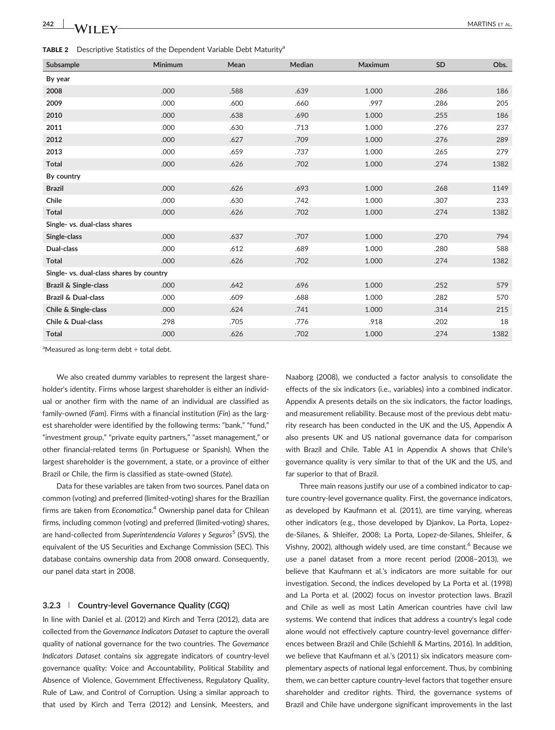| 242<br>__<br>$\sqrt{ }$ | MARTIN'<br>- 1 |
|-------------------------|----------------|
| . .                     |                |

| Subsample                                | Minimum | Mean | Median | <b>Maximum</b> | <b>SD</b> | Obs. |
|------------------------------------------|---------|------|--------|----------------|-----------|------|
| By year                                  |         |      |        |                |           |      |
| 2008                                     | .000    | .588 | .639   | 1.000          | .286      | 186  |
| 2009                                     | .000    | .600 | .660   | .997           | .286      | 205  |
| 2010                                     | .000    | .638 | .690   | 1.000          | .255      | 186  |
| 2011                                     | .000    | .630 | .713   | 1.000          | .276      | 237  |
| 2012                                     | .000    | .627 | .709   | 1.000          | .276      | 289  |
| 2013                                     | .000    | .659 | .737   | 1.000          | .265      | 279  |
| <b>Total</b>                             | .000    | .626 | .702   | 1.000          | .274      | 1382 |
| By country                               |         |      |        |                |           |      |
| <b>Brazil</b>                            | .000    | .626 | .693   | 1.000          | .268      | 1149 |
| Chile                                    | .000    | .630 | .742   | 1.000          | .307      | 233  |
| <b>Total</b>                             | .000    | .626 | .702   | 1.000          | .274      | 1382 |
| Single- vs. dual-class shares            |         |      |        |                |           |      |
| Single-class                             | .000    | .637 | .707   | 1.000          | .270      | 794  |
| Dual-class                               | .000    | .612 | .689   | 1.000          | .280      | 588  |
| <b>Total</b>                             | .000    | .626 | .702   | 1.000          | .274      | 1382 |
| Single- vs. dual-class shares by country |         |      |        |                |           |      |
| <b>Brazil &amp; Single-class</b>         | .000    | .642 | .696   | 1.000          | .252      | 579  |
| <b>Brazil &amp; Dual-class</b>           | .000    | .609 | .688   | 1.000          | .282      | 570  |
| Chile & Single-class                     | .000    | .624 | .741   | 1.000          | .314      | 215  |
| Chile & Dual-class                       | .298    | .705 | .776   | .918           | .202      | 18   |
| <b>Total</b>                             | .000    | .626 | .702   | 1.000          | .274      | 1382 |

a Measured as long‐term debt ÷ total debt.

We also created dummy variables to represent the largest shareholder's identity. Firms whose largest shareholder is either an individual or another firm with the name of an individual are classified as family-owned (Fam). Firms with a financial institution (Fin) as the largest shareholder were identified by the following terms: "bank," "fund," "investment group," "private equity partners," "asset management," or other financial‐related terms (in Portuguese or Spanish). When the largest shareholder is the government, a state, or a province of either Brazil or Chile, the firm is classified as state‐owned (State).

Data for these variables are taken from two sources. Panel data on common (voting) and preferred (limited‐voting) shares for the Brazilian firms are taken from Economatica.<sup>4</sup> Ownership panel data for Chilean firms, including common (voting) and preferred (limited‐voting) shares, are hand-collected from Superintendencia Valores y Seguros<sup>5</sup> (SVS), the equivalent of the US Securities and Exchange Commission (SEC). This database contains ownership data from 2008 onward. Consequently, our panel data start in 2008.

#### 3.2.3 <sup>|</sup> Country‐level Governance Quality (CGQ)

In line with Daniel et al. (2012) and Kirch and Terra (2012), data are collected from the Governance Indicators Dataset to capture the overall quality of national governance for the two countries. The Governance Indicators Dataset contains six aggregate indicators of country‐level governance quality: Voice and Accountability, Political Stability and Absence of Violence, Government Effectiveness, Regulatory Quality, Rule of Law, and Control of Corruption. Using a similar approach to that used by Kirch and Terra (2012) and Lensink, Meesters, and

Naaborg (2008), we conducted a factor analysis to consolidate the effects of the six indicators (i.e., variables) into a combined indicator. Appendix A presents details on the six indicators, the factor loadings, and measurement reliability. Because most of the previous debt maturity research has been conducted in the UK and the US, Appendix A also presents UK and US national governance data for comparison with Brazil and Chile. Table A1 in Appendix A shows that Chile's governance quality is very similar to that of the UK and the US, and far superior to that of Brazil.

Three main reasons justify our use of a combined indicator to capture country‐level governance quality. First, the governance indicators, as developed by Kaufmann et al. (2011), are time varying, whereas other indicators (e.g., those developed by Djankov, La Porta, Lopez‐ de‐Silanes, & Shleifer, 2008; La Porta, Lopez‐de‐Silanes, Shleifer, & Vishny, 2002), although widely used, are time constant.<sup>6</sup> Because we use a panel dataset from a more recent period (2008–2013), we believe that Kaufmann et al.'s indicators are more suitable for our investigation. Second, the indices developed by La Porta et al. (1998) and La Porta et al. (2002) focus on investor protection laws. Brazil and Chile as well as most Latin American countries have civil law systems. We contend that indices that address a country's legal code alone would not effectively capture country‐level governance differences between Brazil and Chile (Schiehll & Martins, 2016). In addition, we believe that Kaufmann et al.'s (2011) six indicators measure complementary aspects of national legal enforcement. Thus, by combining them, we can better capture country‐level factors that together ensure shareholder and creditor rights. Third, the governance systems of Brazil and Chile have undergone significant improvements in the last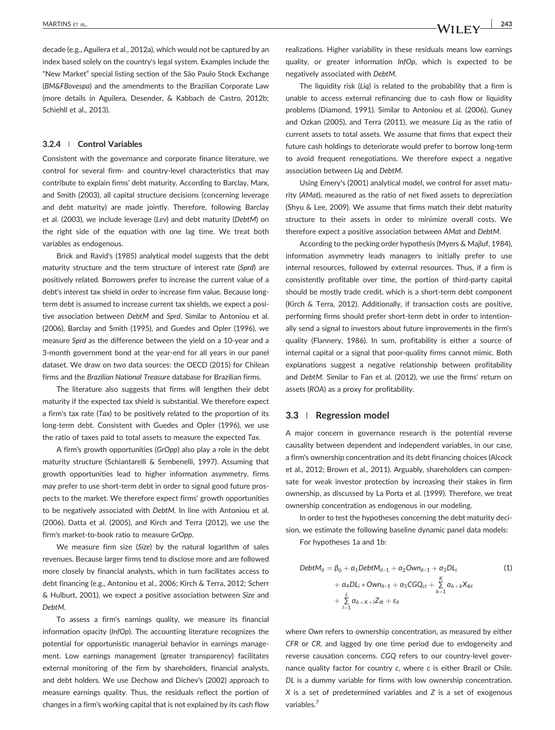decade (e.g., Aguilera et al., 2012a), which would not be captured by an index based solely on the country's legal system. Examples include the "New Market" special listing section of the São Paulo Stock Exchange (BM&FBovespa) and the amendments to the Brazilian Corporate Law (more details in Aguilera, Desender, & Kabbach de Castro, 2012b; Schiehll et al., 2013).

## 3.2.4 | Control Variables

Consistent with the governance and corporate finance literature, we control for several firm‐ and country‐level characteristics that may contribute to explain firms' debt maturity. According to Barclay, Marx, and Smith (2003), all capital structure decisions (concerning leverage and debt maturity) are made jointly. Therefore, following Barclay et al. (2003), we include leverage (Lev) and debt maturity (DebtM) on the right side of the equation with one lag time. We treat both variables as endogenous.

Brick and Ravid's (1985) analytical model suggests that the debt maturity structure and the term structure of interest rate (Sprd) are positively related. Borrowers prefer to increase the current value of a debt's interest tax shield in order to increase firm value. Because long‐ term debt is assumed to increase current tax shields, we expect a positive association between DebtM and Sprd. Similar to Antoniou et al. (2006), Barclay and Smith (1995), and Guedes and Opler (1996), we measure Sprd as the difference between the yield on a 10‐year and a 3‐month government bond at the year‐end for all years in our panel dataset. We draw on two data sources: the OECD (2015) for Chilean firms and the Brazilian National Treasure database for Brazilian firms.

The literature also suggests that firms will lengthen their debt maturity if the expected tax shield is substantial. We therefore expect a firm's tax rate (Tax) to be positively related to the proportion of its long-term debt. Consistent with Guedes and Opler (1996), we use the ratio of taxes paid to total assets to measure the expected Tax.

A firm's growth opportunities (GrOpp) also play a role in the debt maturity structure (Schiantarelli & Sembenelli, 1997). Assuming that growth opportunities lead to higher information asymmetry, firms may prefer to use short-term debt in order to signal good future prospects to the market. We therefore expect firms' growth opportunities to be negatively associated with DebtM. In line with Antoniou et al. (2006), Datta et al. (2005), and Kirch and Terra (2012), we use the firm's market-to-book ratio to measure GrOpp.

We measure firm size (Size) by the natural logarithm of sales revenues. Because larger firms tend to disclose more and are followed more closely by financial analysts, which in turn facilitates access to debt financing (e.g., Antoniou et al., 2006; Kirch & Terra, 2012; Scherr & Hulburt, 2001), we expect a positive association between Size and DebtM.

To assess a firm's earnings quality, we measure its financial information opacity (InfOp). The accounting literature recognizes the potential for opportunistic managerial behavior in earnings management. Low earnings management (greater transparency) facilitates external monitoring of the firm by shareholders, financial analysts, and debt holders. We use Dechow and Dichev's (2002) approach to measure earnings quality. Thus, the residuals reflect the portion of changes in a firm's working capital that is not explained by its cash flow realizations. Higher variability in these residuals means low earnings quality, or greater information InfOp, which is expected to be negatively associated with DebtM.

The liquidity risk (Liq) is related to the probability that a firm is unable to access external refinancing due to cash flow or liquidity problems (Diamond, 1991). Similar to Antoniou et al. (2006), Guney and Ozkan (2005), and Terra (2011), we measure Liq as the ratio of current assets to total assets. We assume that firms that expect their future cash holdings to deteriorate would prefer to borrow long‐term to avoid frequent renegotiations. We therefore expect a negative association between Liq and DebtM.

Using Emery's (2001) analytical model, we control for asset maturity (AMat), measured as the ratio of net fixed assets to depreciation (Shyu & Lee, 2009). We assume that firms match their debt maturity structure to their assets in order to minimize overall costs. We therefore expect a positive association between AMat and DebtM.

According to the pecking order hypothesis (Myers & Majluf, 1984), information asymmetry leads managers to initially prefer to use internal resources, followed by external resources. Thus, if a firm is consistently profitable over time, the portion of third‐party capital should be mostly trade credit, which is a short-term debt component (Kirch & Terra, 2012). Additionally, if transaction costs are positive, performing firms should prefer short-term debt in order to intentionally send a signal to investors about future improvements in the firm's quality (Flannery, 1986). In sum, profitability is either a source of internal capital or a signal that poor‐quality firms cannot mimic. Both explanations suggest a negative relationship between profitability and DebtM. Similar to Fan et al. (2012), we use the firms' return on assets (ROA) as a proxy for profitability.

## 3.3 | Regression model

A major concern in governance research is the potential reverse causality between dependent and independent variables, in our case, a firm's ownership concentration and its debt financing choices (Alcock et al., 2012; Brown et al., 2011). Arguably, shareholders can compensate for weak investor protection by increasing their stakes in firm ownership, as discussed by La Porta et al. (1999). Therefore, we treat ownership concentration as endogenous in our modeling.

In order to test the hypotheses concerning the debt maturity decision, we estimate the following baseline dynamic panel data models: For hypotheses 1a and 1b:

$$
DebtM_{it} = \beta_0 + \alpha_1 DebtM_{it-1} + \alpha_2 Own_{it-1} + \alpha_3 DL_{i}
$$
  
+  $\alpha_4 DL_i * Own_{it-1} + \alpha_5 CGQ_{ct} + \sum_{k=1}^{K} \alpha_{6+k} X_{ikt}$   
+  $\sum_{l=1}^{L} \alpha_{6+k+l} Z_{ilt} + \varepsilon_{it}$  (1)

where Own refers to ownership concentration, as measured by either CFR or CR, and lagged by one time period due to endogeneity and reverse causation concerns. CGQ refers to our country‐level governance quality factor for country c, where c is either Brazil or Chile. DL is a dummy variable for firms with low ownership concentration. X is a set of predetermined variables and Z is a set of exogenous variables.7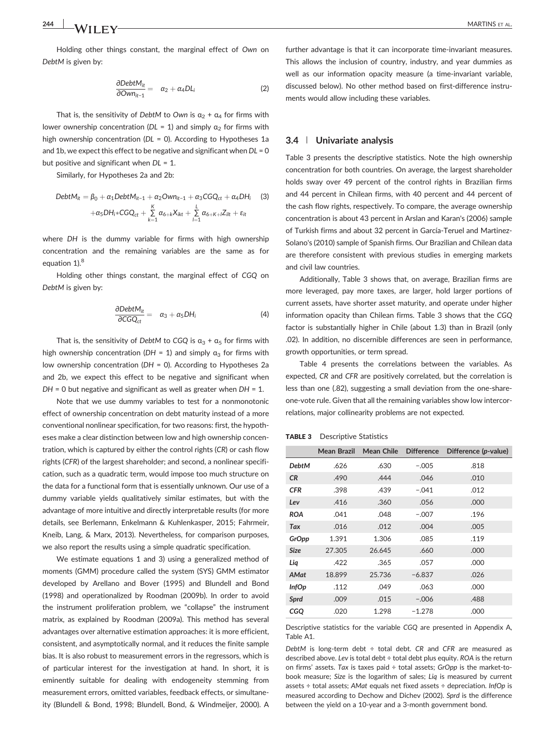Holding other things constant, the marginal effect of Own on DebtM is given by:

$$
\frac{\partial DebtM_{it}}{\partial Own_{it-1}} = \alpha_2 + \alpha_4 DL_i \tag{2}
$$

That is, the sensitivity of DebtM to Own is  $\alpha_2 + \alpha_4$  for firms with lower ownership concentration ( $DL = 1$ ) and simply  $\alpha_2$  for firms with high ownership concentration ( $DL = 0$ ). According to Hypotheses 1a and 1b, we expect this effect to be negative and significant when  $DL = 0$ but positive and significant when  $DL = 1$ .

Similarly, for Hypotheses 2a and 2b:

$$
DebtM_{it} = \beta_0 + \alpha_1 DebtM_{it-1} + \alpha_2 Own_{it-1} + \alpha_3 CGQ_{ct} + \alpha_4 DH_i
$$
 (3)  
+ $\alpha_5 DH_i * CGQ_{ct} + \sum_{k=1}^K \alpha_{6+k} X_{ikt} + \sum_{l=1}^L \alpha_{6+k+l} Z_{ilt} + \varepsilon_{it}$ 

where DH is the dummy variable for firms with high ownership concentration and the remaining variables are the same as for equation 1).<sup>8</sup>

Holding other things constant, the marginal effect of CGQ on DebtM is given by:

$$
\frac{\partial DebtM_{it}}{\partial CGQ_{ct}} = \alpha_3 + \alpha_5 DH_i \tag{4}
$$

That is, the sensitivity of DebtM to CGQ is  $\alpha_3 + \alpha_5$  for firms with high ownership concentration ( $DH = 1$ ) and simply  $\alpha_3$  for firms with low ownership concentration (DH = 0). According to Hypotheses 2a and 2b, we expect this effect to be negative and significant when  $DH = 0$  but negative and significant as well as greater when  $DH = 1$ .

Note that we use dummy variables to test for a nonmonotonic effect of ownership concentration on debt maturity instead of a more conventional nonlinear specification, for two reasons: first, the hypotheses make a clear distinction between low and high ownership concentration, which is captured by either the control rights (CR) or cash flow rights (CFR) of the largest shareholder; and second, a nonlinear specification, such as a quadratic term, would impose too much structure on the data for a functional form that is essentially unknown. Our use of a dummy variable yields qualitatively similar estimates, but with the advantage of more intuitive and directly interpretable results (for more details, see Berlemann, Enkelmann & Kuhlenkasper, 2015; Fahrmeir, Kneib, Lang, & Marx, 2013). Nevertheless, for comparison purposes, we also report the results using a simple quadratic specification.

We estimate equations 1 and 3) using a generalized method of moments (GMM) procedure called the system (SYS) GMM estimator developed by Arellano and Bover (1995) and Blundell and Bond (1998) and operationalized by Roodman (2009b). In order to avoid the instrument proliferation problem, we "collapse" the instrument matrix, as explained by Roodman (2009a). This method has several advantages over alternative estimation approaches: it is more efficient, consistent, and asymptotically normal, and it reduces the finite sample bias. It is also robust to measurement errors in the regressors, which is of particular interest for the investigation at hand. In short, it is eminently suitable for dealing with endogeneity stemming from measurement errors, omitted variables, feedback effects, or simultaneity (Blundell & Bond, 1998; Blundell, Bond, & Windmeijer, 2000). A

further advantage is that it can incorporate time‐invariant measures. This allows the inclusion of country, industry, and year dummies as well as our information opacity measure (a time-invariant variable, discussed below). No other method based on first‐difference instruments would allow including these variables.

## 3.4 | Univariate analysis

Table 3 presents the descriptive statistics. Note the high ownership concentration for both countries. On average, the largest shareholder holds sway over 49 percent of the control rights in Brazilian firms and 44 percent in Chilean firms, with 40 percent and 44 percent of the cash flow rights, respectively. To compare, the average ownership concentration is about 43 percent in Arslan and Karan's (2006) sample of Turkish firms and about 32 percent in García‐Teruel and Martinez‐ Solano's (2010) sample of Spanish firms. Our Brazilian and Chilean data are therefore consistent with previous studies in emerging markets and civil law countries.

Additionally, Table 3 shows that, on average, Brazilian firms are more leveraged, pay more taxes, are larger, hold larger portions of current assets, have shorter asset maturity, and operate under higher information opacity than Chilean firms. Table 3 shows that the CGQ factor is substantially higher in Chile (about 1.3) than in Brazil (only .02). In addition, no discernible differences are seen in performance, growth opportunities, or term spread.

Table 4 presents the correlations between the variables. As expected, CR and CFR are positively correlated, but the correlation is less than one (.82), suggesting a small deviation from the one‐share‐ one‐vote rule. Given that all the remaining variables show low intercorrelations, major collinearity problems are not expected.

#### TABLE 3 Descriptive Statistics

|              | <b>Mean Brazil</b> | <b>Mean Chile</b> | <b>Difference</b> | Difference (p-value) |
|--------------|--------------------|-------------------|-------------------|----------------------|
| <b>DebtM</b> | .626               | .630              | $-.005$           | .818                 |
| <b>CR</b>    | .490               | .444              | .046              | .010                 |
| <b>CFR</b>   | .398               | .439              | $-.041$           | .012                 |
| Lev          | .416               | .360              | .056              | .000                 |
| <b>ROA</b>   | .041               | .048              | $-.007$           | .196                 |
| Tax          | .016               | .012              | .004              | .005                 |
| GrOpp        | 1.391              | 1.306             | .085              | .119                 |
| <b>Size</b>  | 27.305             | 26.645            | .660              | .000                 |
| Lig          | .422               | .365              | .057              | .000                 |
| AMat         | 18.899             | 25.736            | $-6.837$          | .026                 |
| <b>InfOp</b> | .112               | .049              | .063              | .000                 |
| Sprd         | .009               | .015              | $-.006$           | .488                 |
| CGQ          | .020               | 1.298             | $-1.278$          | .000                 |

Descriptive statistics for the variable CGQ are presented in Appendix A, Table A1.

DebtM is long-term debt  $\div$  total debt. CR and CFR are measured as described above. Lev is total debt ÷ total debt plus equity. ROA is the return on firms' assets. Tax is taxes paid  $\div$  total assets: GrOpp is the market-tobook measure; Size is the logarithm of sales; Liq is measured by current assets ÷ total assets; AMat equals net fixed assets ÷ depreciation. InfOp is measured according to Dechow and Dichev (2002). Sprd is the difference between the yield on a 10‐year and a 3‐month government bond.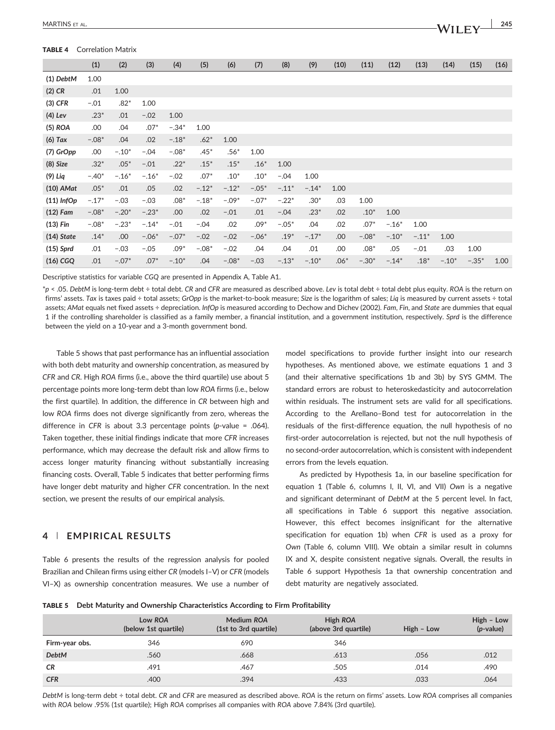#### TABLE 4 Correlation Matrix

|              | (1)     | (2)     | (3)     | (4)     | (5)     | (6)     | (7)     | (8)     | (9)     | (10)   | (11)    | (12)    | (13)    | (14)    | (15)    | (16) |
|--------------|---------|---------|---------|---------|---------|---------|---------|---------|---------|--------|---------|---------|---------|---------|---------|------|
| $(1)$ DebtM  | 1.00    |         |         |         |         |         |         |         |         |        |         |         |         |         |         |      |
| $(2)$ CR     | .01     | 1.00    |         |         |         |         |         |         |         |        |         |         |         |         |         |      |
| $(3)$ CFR    | $-.01$  | $.82*$  | 1.00    |         |         |         |         |         |         |        |         |         |         |         |         |      |
| $(4)$ Lev    | $.23*$  | .01     | $-.02$  | 1.00    |         |         |         |         |         |        |         |         |         |         |         |      |
| $(5)$ ROA    | .00     | .04     | $.07*$  | $-.34*$ | 1.00    |         |         |         |         |        |         |         |         |         |         |      |
| $(6)$ Tax    | $-.08*$ | .04     | .02     | $-.18*$ | $.62*$  | 1.00    |         |         |         |        |         |         |         |         |         |      |
| (7) GrOpp    | .00     | $-.10*$ | $-.04$  | $-.08*$ | $.45*$  | $.56*$  | 1.00    |         |         |        |         |         |         |         |         |      |
| $(8)$ Size   | $.32*$  | $.05*$  | $-.01$  | $.22*$  | $.15*$  | $.15*$  | $.16*$  | 1.00    |         |        |         |         |         |         |         |      |
| $(9)$ Liq    | $-.40*$ | $-.16*$ | $-.16*$ | $-.02$  | $.07*$  | $.10*$  | $.10*$  | $-.04$  | 1.00    |        |         |         |         |         |         |      |
| $(10)$ AMat  | $.05*$  | .01     | .05     | .02     | $-.12*$ | $-.12*$ | $-.05*$ | $-.11*$ | $-.14*$ | 1.00   |         |         |         |         |         |      |
| $(11)$ InfOp | $-.17*$ | $-.03$  | $-.03$  | $.08*$  | $-.18*$ | $-.09*$ | $-.07*$ | $-.22*$ | $.30*$  | .03    | 1.00    |         |         |         |         |      |
| $(12)$ Fam   | $-.08*$ | $-.20*$ | $-.23*$ | .00     | .02     | $-.01$  | .01     | $-.04$  | $.23*$  | .02    | $.10*$  | 1.00    |         |         |         |      |
| $(13)$ Fin   | $-.08*$ | $-.23*$ | $-.14*$ | $-.01$  | $-.04$  | .02     | $.09*$  | $-.05*$ | .04     | .02    | $.07*$  | $-.16*$ | 1.00    |         |         |      |
| $(14)$ State | $.14*$  | .00     | $-.06*$ | $-.07*$ | $-.02$  | $-.02$  | $-.06*$ | $.19*$  | $-.17*$ | .00    | $-.08*$ | $-.10*$ | $-.11*$ | 1.00    |         |      |
| $(15)$ Sprd  | .01     | $-.03$  | $-.05$  | $.09*$  | $-.08*$ | $-.02$  | .04     | .04     | .01     | .00    | $.08*$  | .05     | $-.01$  | .03     | 1.00    |      |
| (16) CGQ     | .01     | $-.07*$ | $.07*$  | $-.10*$ | .04     | $-.08*$ | $-.03$  | $-.13*$ | $-.10*$ | $.06*$ | $-.30*$ | $-.14*$ | $.18*$  | $-.10*$ | $-.35*$ | 1.00 |

Descriptive statistics for variable CGQ are presented in Appendix A, Table A1.

\*p < .05. DebtM is long-term debt ÷ total debt. CR and CFR are measured as described above. Lev is total debt ÷ total debt plus equity. ROA is the return on firms' assets. Tax is taxes paid ÷ total assets; GrOpp is the market-to-book measure; Size is the logarithm of sales; Liq is measured by current assets ÷ total assets; AMat equals net fixed assets ÷ depreciation. InfOp is measured according to Dechow and Dichev (2002). Fam, Fin, and State are dummies that equal 1 if the controlling shareholder is classified as a family member, a financial institution, and a government institution, respectively. Sprd is the difference between the yield on a 10‐year and a 3‐month government bond.

Table 5 shows that past performance has an influential association with both debt maturity and ownership concentration, as measured by CFR and CR. High ROA firms (i.e., above the third quartile) use about 5 percentage points more long‐term debt than low ROA firms (i.e., below the first quartile). In addition, the difference in CR between high and low ROA firms does not diverge significantly from zero, whereas the difference in CFR is about 3.3 percentage points (p-value =  $.064$ ). Taken together, these initial findings indicate that more CFR increases performance, which may decrease the default risk and allow firms to access longer maturity financing without substantially increasing financing costs. Overall, Table 5 indicates that better performing firms have longer debt maturity and higher CFR concentration. In the next section, we present the results of our empirical analysis.

# 4 | EMPIRICAL RESULTS

Table 6 presents the results of the regression analysis for pooled Brazilian and Chilean firms using either CR (models I–V) or CFR (models VI–X) as ownership concentration measures. We use a number of model specifications to provide further insight into our research hypotheses. As mentioned above, we estimate equations 1 and 3 (and their alternative specifications 1b and 3b) by SYS GMM. The standard errors are robust to heteroskedasticity and autocorrelation within residuals. The instrument sets are valid for all specifications. According to the Arellano–Bond test for autocorrelation in the residuals of the first-difference equation, the null hypothesis of no first-order autocorrelation is rejected, but not the null hypothesis of no second‐order autocorrelation, which is consistent with independent errors from the levels equation.

As predicted by Hypothesis 1a, in our baseline specification for equation 1 (Table 6, columns I, II, VI, and VII) Own is a negative and significant determinant of DebtM at the 5 percent level. In fact, all specifications in Table 6 support this negative association. However, this effect becomes insignificant for the alternative specification for equation 1b) when CFR is used as a proxy for Own (Table 6, column VIII). We obtain a similar result in columns IX and X, despite consistent negative signals. Overall, the results in Table 6 support Hypothesis 1a that ownership concentration and debt maturity are negatively associated.

TABLE 5 Debt Maturity and Ownership Characteristics According to Firm Profitability

|                | Low ROA<br>(below 1st quartile) | Medium ROA<br>(1st to 3rd quartile) | High ROA<br>(above 3rd quartile) | High - Low | High - Low<br>$(p$ -value) |
|----------------|---------------------------------|-------------------------------------|----------------------------------|------------|----------------------------|
| Firm-year obs. | 346                             | 690                                 | 346                              |            |                            |
| <b>DebtM</b>   | .560                            | .668                                | .613                             | .056       | .012                       |
| <b>CR</b>      | .491                            | .467                                | .505                             | .014       | .490                       |
| <b>CFR</b>     | .400                            | .394                                | .433                             | .033       | .064                       |

DebtM is long-term debt ÷ total debt. CR and CFR are measured as described above. ROA is the return on firms' assets. Low ROA comprises all companies with ROA below .95% (1st quartile); High ROA comprises all companies with ROA above 7.84% (3rd quartile).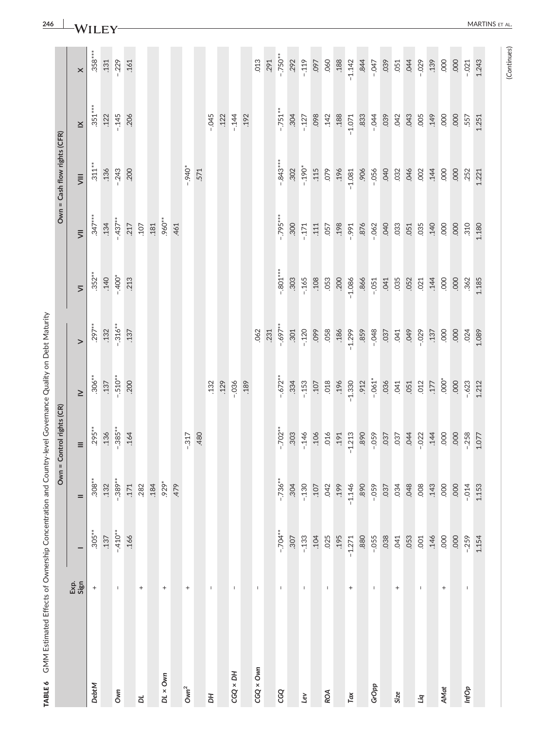| ֕                                                                                                       |
|---------------------------------------------------------------------------------------------------------|
|                                                                                                         |
| ı                                                                                                       |
|                                                                                                         |
|                                                                                                         |
| ׇ֚֬֘<br>ׇ֚֓                                                                                             |
|                                                                                                         |
| i                                                                                                       |
|                                                                                                         |
| ֚֚֚֬<br>l                                                                                               |
| l<br>֕                                                                                                  |
| í<br>l                                                                                                  |
| ֚֚֚֬<br>֠<br>֖ׅ֖֧֧֪֪֧֧֧֚֚֚֚֚֚֚֚֚֚֚֚֚֚֚֚֚֚֚֚֚֚֚֚֚֞֡֡֡֡֡֡֡֡֡֡֡֡֡֡֬֝֞֝֓֞֡֡֡֬֞֝֬֞֓֞֬֞֞֝֬֞֞֝֬֝֬֞֝֬֝֞֬֝֞֞֝֬֝֬ |

|                         |                                  |           | $O$ $\mathsf{Wn} =$ | Control rights (CR) |          |           |                |                | Own = Cash flow rights (CFR) |           |            |
|-------------------------|----------------------------------|-----------|---------------------|---------------------|----------|-----------|----------------|----------------|------------------------------|-----------|------------|
|                         | Exp.<br>Sign                     |           | $=$                 | Ξ                   | $\geq$   | $\geq$    | $\overline{ }$ | $\overline{5}$ | $\equiv$                     | $\geq$    | $\times$   |
| <b>DebtM</b>            | $^{+}$                           | $.305**$  | $.308**$            | $.295**$            | $.306**$ | $.297**$  | $.352**$       | $.347***$      | $.311**$                     | $.351***$ | $.358***$  |
|                         |                                  | .137      | .132                | .136                | .137     | .132      | .140           | .134           | .136                         | .122      | .131       |
| Own                     | $\mathsf I$                      | $-410**$  | $-0.389**$          | $-.385**$           | $-510**$ | $-.316**$ | $-400*$        | $-437**$       | $-243$                       | $-145$    | $-0.229$   |
|                         |                                  | .166      | .171                | .164                | .200     | .137      | 213            | .217           | .200                         | .206      | .161       |
| $\overline{\mathsf{d}}$ | $^{+}$                           |           | .282                |                     |          |           |                | .107           |                              |           |            |
|                         |                                  |           | .184                |                     |          |           |                | .181           |                              |           |            |
| $DL \times Own$         | $^{+}$                           |           | .929*               |                     |          |           |                | .960**         |                              |           |            |
|                         |                                  |           | 479                 |                     |          |           |                | 461            |                              |           |            |
| $Own^2$                 | $^{+}$                           |           |                     | $-.317$             |          |           |                |                | $-940*$                      |           |            |
|                         |                                  |           |                     | .480                |          |           |                |                | .571                         |           |            |
| Ξ                       | $\mathsf I$                      |           |                     |                     | .132     |           |                |                |                              | $-0.045$  |            |
|                         |                                  |           |                     |                     | .129     |           |                |                |                              | .122      |            |
| CGQ × DH                | $\mathsf I$                      |           |                     |                     | $-0.36$  |           |                |                |                              | $-144$    |            |
|                         |                                  |           |                     |                     | .189     |           |                |                |                              | .192      |            |
| CGQ × Own               | $\mathsf I$                      |           |                     |                     |          | .062      |                |                |                              |           | 013        |
|                         |                                  |           |                     |                     |          | .231      |                |                |                              |           | .291       |
| CGQ                     | $\mathsf I$                      | $-.704**$ | $-736**$            | $-702**$            | $-672**$ | $-697**$  | $-0.801***$    | $-.795***$     | $-0.843***$                  | $-751**$  | $-.750**$  |
|                         |                                  | .307      | .304                | .303                | .334     | .301      | .303           | .300           | .302                         | .304      | .292       |
| LeV                     | $\mathsf I$                      | $-133$    | $-130$              | $-146$              | $-153$   | $-0.120$  | $-165$         | $-171$         | $-190*$                      | $-127$    | $-119$     |
|                         |                                  | .104      | .107                | .106                | .107     | .099      | .108           | .111           | .115                         | .098      | <b>L60</b> |
| ROA                     | $\mathsf I$                      | .025      | .042                | 016                 | .018     | .058      | .053           | .057           | .079                         | .142      | .060       |
|                         |                                  | .195      | .199                | .191                | .196     | .186      | .200           | .198           | .196                         | .188      | .188       |
| Tax                     | $\begin{array}{c} + \end{array}$ | $-1.271$  | $-1.146$            | $-1.213$            | $-1.330$ | $-1.299$  | $-1.086$       | $-991$         | $-1.081$                     | $-1.071$  | $-1.142$   |
|                         |                                  | .880      | .890                | .890                | .912     | .859      | .866           | .876           | 906.                         | .833      | .844       |
| GrOpp                   | $\mathsf I$                      | $-0.55$   | $-0.59$             | $-0.059$            | $-.061*$ | $-0.048$  | $-0.51$        | $-0.62$        | $-056$                       | $-044$    | $-0.47$    |
|                         |                                  | .038      | .037                | .037                | .036     | .037      | .041           | 040            | 040                          | .039      | .039       |
| Size                    | $^{+}$                           | .041      | .034                | .037                | .041     | .041      | .035           | .033           | .032                         | .042      | .051       |
|                         |                                  | .053      | .048                | .044                | .051     | 670.      | .052           | .051           | 046                          | .043      | .044       |
| Liq                     | $\mathsf I$                      | .001      | .008                | $-0.022$            | .012     | $-029$    | .021           | .035           | .002                         | .005      | $-0.029$   |
|                         |                                  | .146      | .143                | .144                | .177     | .137      | .144           | <b>140</b>     | .144                         | .149      | .139       |
| <b>AMat</b>             | $\begin{array}{c} + \end{array}$ | 000       | 000.                | 000                 | $000*$   | 000       | 000.           | 000.           | 000.                         | 000.      | 000.       |
|                         |                                  | .000      | .000                | .000                | .000     | .000      | .000           | .000           | .000                         | .000      | .000       |
| InfOp                   | $\mathsf I$                      | $-259$    | $-0.014$            | $-.258$             | $-623$   | .024      | .362           | .310           | .252                         | .557      | $-0.021$   |
|                         |                                  | 1.154     | 1.153               | 1.077               | 1.212    | 1.089     | 1.185          | 1.180          | 1.221                        | 1.251     | 1.243      |

 $\frac{246}{1}$  WILEY-

(Continues)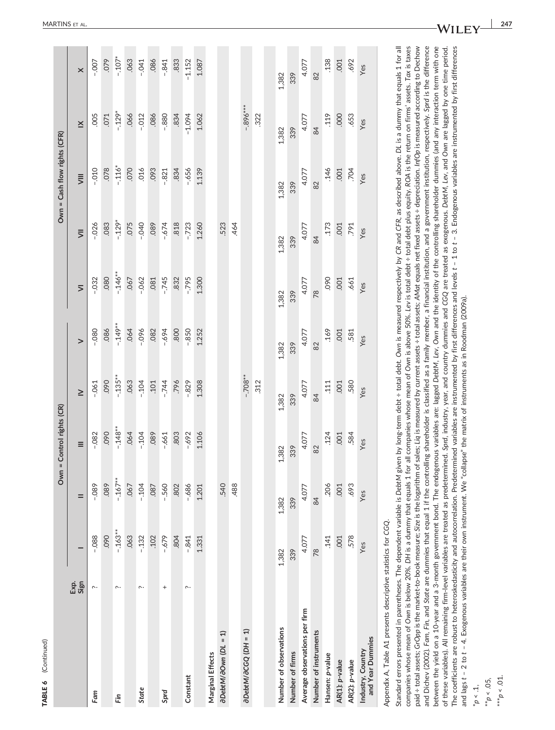|                                                               |                     |                 |          | Own = Control rights (CR) |             |          |                |                | Own = Cash flow rights (CFR) |           |           |
|---------------------------------------------------------------|---------------------|-----------------|----------|---------------------------|-------------|----------|----------------|----------------|------------------------------|-----------|-----------|
|                                                               | <u>និង</u><br>ក្នុង |                 | $=$      | $\equiv$                  | $\geq$      | $\geq$   | $\overline{>}$ | $\overline{5}$ | $\equiv$                     | $\geq$    | $\times$  |
| Fam                                                           | $\sim$              | $-0.88$         | $-0.89$  | $-0.082$                  | $-061$      | $-080 -$ | $-0.32$        | $-0.026$       | $-0.010$                     | 005       | $-00 -$   |
|                                                               |                     | 060             | .089     | 060                       | 060         | .086     | 080            | .083           | 078                          | .071      | 079       |
| Fin                                                           | $\sim$              | $-163**$        | $-167**$ | $-148**$                  | $-0.135***$ | $-149**$ | $-0.146**$     | $-0.129*$      | $-116*$                      | $-0.129*$ | $-107*$   |
|                                                               |                     | .063            | .067     | .064                      | .063        | .064     | .067           | .075           | .070                         | .066      | .063      |
| <b>State</b>                                                  | $\sim$              | $-132$          | $-104$   | $-104$                    | $-104$      | $-0.096$ | $-.062$        | $-0.040$       | 016                          | $-.012$   | $-041$    |
|                                                               |                     | .102            | .087     | .089                      | 101         | .082     | .081           | .089           | .093                         | .086      | .086      |
| Sprd                                                          | $^{+}$              | $-679$          | $-560$   | $-661$                    | $-744$      | $-694$   | $-745$         | $-674$         | $-821$                       | $-880$    | $-841$    |
|                                                               |                     | 804             | .802     | 803                       | .796        | .800     | 832            | .818           | .834                         | .834      | .833      |
| Constant                                                      | $\sim$              | $-841$          | $-686$   | $-692$                    | $-0.829$    | $-850$   | $-795$         | $-.723$        | $-656$                       | $-1.094$  | $-1.152$  |
|                                                               |                     | 1.331           | 1.201    | 1.106                     | 1.308       | 1.252    | 1.300          | 1.260          | 1.139                        | 1.062     | 1.087     |
| Marginal Effects                                              |                     |                 |          |                           |             |          |                |                |                              |           |           |
| aDebtM/aOwn (DL = 1)                                          |                     |                 | 540      |                           |             |          |                | 523            |                              |           |           |
|                                                               |                     |                 | 488      |                           |             |          |                | 464            |                              |           |           |
| aDebtM/aCGQ (DH = 1)                                          |                     |                 |          |                           | $-.708**$   |          |                |                |                              | $-896***$ |           |
|                                                               |                     |                 |          |                           | 312         |          |                |                |                              | 322       |           |
|                                                               |                     |                 |          |                           |             |          |                |                |                              |           |           |
| Number of observations                                        |                     | 1,382           | 1,382    | 1,382                     | 1,382       | 1,382    | 1,382          | 1,382          | 1,382                        | 1,382     | 1,382     |
| Number of firms                                               |                     | 339             | 339      | 339                       | 339         | 339      | 339            | 339            | 339                          | 339       | 339       |
| Average observations per firm                                 |                     | 4.077           | 4.077    | 4.077                     | 4.077       | 4.077    | 4.077          | 4.077          | 4.077                        | 4.077     | 4.077     |
| Number of instruments                                         |                     | $\overline{78}$ | 84       | 82                        | 84          | 82       | 78             | 84             | 82                           | 84        | $\approx$ |
| Hansen: p-value                                               |                     | .141            | .206     | .124                      | .111        | .169     | 090            | .173           | .146                         | .119      | .138      |
| AR(1): p-value                                                |                     | .001            | .001     | .001                      | .001        | .001     | .001           | .001           | <b>COO</b> .                 | 000.      | .001      |
| AR(2): p-value                                                |                     | 578             | .693     | .584                      | .580        | .581     | .661           | 791            | .704                         | .653      | .692      |
| and Year Dummies<br>Industry, Country                         |                     | Yes             | Yes      | Yes                       | Yes         | Yes      | Yes            | Yes            | Yes                          | Yes       | Yes       |
| Appendix A, Table A1 presents descriptive statistics for CGQ. |                     |                 |          |                           |             |          |                |                |                              |           |           |

Standard errors presented in parentheses. The dependent variable is DebtM given by long-term debt + total debt. Own is measured respectively by CR and CFR, as described above. DL is a dummy that equals 1 for all paid + total assets; GrOpp is the market-to-book measure; Size is the logarithm of sales; Liq is measured by current assets + total assets; AMat equals net fixed assets + depreciation. InfOp is measured according to Dechow and Dichev (2002). Fam, Fin, and State are dummies that equal 1 if the controlling shareholder is classified as a family member, a financial institution, and a government institution, respectively. Sprd is the difference between the yield on a 10-year and a 3-month government bond. The endogenous variables are: lagged DebtM, Lev, Own and the identity of the controlling shareholder dummies (and any interaction term with one companies whose mean of Own is below 20%. DH is a dummy that equals 1 for all companies whose mean of Own is above 50%. Lev is total debt ÷ total debt plus equity. ROA is the return on firms' assets. Tax is taxes paid ÷ total assets; GrOpp is the market‐to‐book measure; Size is the logarithm of sales; Liq is measured by current assets ÷ total assets; AMat equals net fixed assets ÷ depreciation. InfOp is measured according to Decho of these variables). All remaining firm-level variables are treated as predetermined. Sprd, industry, year, and country dummies and CGQ are treated as exogenous. DebtM, Lev, and Own are lagged by one time period. The coefficients are robust to heteroskedasticity and autocorrelation. Predetermined variables are instrumented by first differences and levels  $t - 1$  to  $t - 3$ . Endogenous variables are instrumented by first differences Standard errors presented in parentheses. The dependent variable is DebtM given by long‐term debt ÷ total debt. Own is measured respectively by CR and CFR, as described above. DL is a dummy that equals 1 for all companies whose mean of Own is below 20%. DH is a dummy that equals 1 for all companies whose mean of Own is above 50%. Lev is total debt ÷ total debt plus equity. ROA is the return on firms' assets. Tax is taxes and Dichev (2002). Fam, Fin, and State are dummies that equal 1 if the controlling shareholder is classified as a family member, a financial institution, and a government institution, respectively. Sprd is the difference between the yield on a 10-year and a 3-month government bond. The endogenous variables are: lagged DebtM, Lev, Own and the identity of the controlling shareholder dummies (and any interaction term with one of these variables). All remaining firm‐level variables are treated as predetermined. Sprd, industry, year, and country dummies and CGQ are treated as exogenous. DebtM, Lev, and Own are lagged by one time period. The coefficients are robust to heteroskedasticity and autocorrelation. Predetermined variables are instrumented by first differences and levels t – 1 to t – 3. Endogenous variables are instrumented by first differences and lags  $t - 2$  to  $t - 4$ . Exogenous variables are their own instrument. We "collapse" the matrix of instruments as in Roodman (2009a). and lags t – 2 to t – 4. Exogenous variables are their own instrument. We "collapse" the matrix of instruments as in Roodman (2009a).

 $^*p < 1$ ,

 ${}^{**}p < .05$ ,

 $k^{**}p < 01$ .

TABLE 6 (Continued)

TABLE 6

(Continued)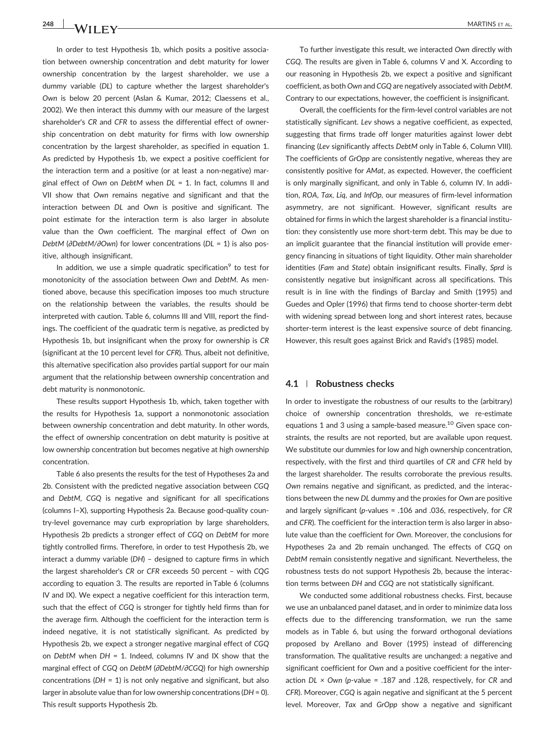In order to test Hypothesis 1b, which posits a positive association between ownership concentration and debt maturity for lower ownership concentration by the largest shareholder, we use a dummy variable (DL) to capture whether the largest shareholder's Own is below 20 percent (Aslan & Kumar, 2012; Claessens et al., 2002). We then interact this dummy with our measure of the largest shareholder's CR and CFR to assess the differential effect of ownership concentration on debt maturity for firms with low ownership concentration by the largest shareholder, as specified in equation 1. As predicted by Hypothesis 1b, we expect a positive coefficient for the interaction term and a positive (or at least a non‐negative) marginal effect of Own on DebtM when DL = 1. In fact, columns II and VII show that Own remains negative and significant and that the interaction between DL and Own is positive and significant. The point estimate for the interaction term is also larger in absolute value than the Own coefficient. The marginal effect of Own on DebtM (∂DebtM/∂Own) for lower concentrations (DL = 1) is also positive, although insignificant.

In addition, we use a simple quadratic specification $\degree$  to test for monotonicity of the association between Own and DebtM. As mentioned above, because this specification imposes too much structure on the relationship between the variables, the results should be interpreted with caution. Table 6, columns III and VIII, report the findings. The coefficient of the quadratic term is negative, as predicted by Hypothesis 1b, but insignificant when the proxy for ownership is CR (significant at the 10 percent level for CFR). Thus, albeit not definitive, this alternative specification also provides partial support for our main argument that the relationship between ownership concentration and debt maturity is nonmonotonic.

These results support Hypothesis 1b, which, taken together with the results for Hypothesis 1a, support a nonmonotonic association between ownership concentration and debt maturity. In other words, the effect of ownership concentration on debt maturity is positive at low ownership concentration but becomes negative at high ownership concentration.

Table 6 also presents the results for the test of Hypotheses 2a and 2b. Consistent with the predicted negative association between CGQ and DebtM, CGQ is negative and significant for all specifications (columns I–X), supporting Hypothesis 2a. Because good‐quality country‐level governance may curb expropriation by large shareholders, Hypothesis 2b predicts a stronger effect of CGQ on DebtM for more tightly controlled firms. Therefore, in order to test Hypothesis 2b, we interact a dummy variable (DH) – designed to capture firms in which the largest shareholder's CR or CFR exceeds 50 percent – with CQG according to equation 3. The results are reported in Table 6 (columns IV and IX). We expect a negative coefficient for this interaction term, such that the effect of CGQ is stronger for tightly held firms than for the average firm. Although the coefficient for the interaction term is indeed negative, it is not statistically significant. As predicted by Hypothesis 2b, we expect a stronger negative marginal effect of CGQ on DebtM when  $DH = 1$ . Indeed, columns IV and IX show that the marginal effect of CGQ on DebtM (∂DebtM/∂CGQ) for high ownership concentrations ( $DH = 1$ ) is not only negative and significant, but also larger in absolute value than for low ownership concentrations (DH = 0). This result supports Hypothesis 2b.

To further investigate this result, we interacted Own directly with CGQ. The results are given in Table 6, columns V and X. According to our reasoning in Hypothesis 2b, we expect a positive and significant coefficient, as both Own and CGQ are negatively associated with DebtM. Contrary to our expectations, however, the coefficient is insignificant.

Overall, the coefficients for the firm‐level control variables are not statistically significant. Lev shows a negative coefficient, as expected, suggesting that firms trade off longer maturities against lower debt financing (Lev significantly affects DebtM only in Table 6, Column VIII). The coefficients of GrOpp are consistently negative, whereas they are consistently positive for AMat, as expected. However, the coefficient is only marginally significant, and only in Table 6, column IV. In addition, ROA, Tax, Liq, and InfOp, our measures of firm‐level information asymmetry, are not significant. However, significant results are obtained for firms in which the largest shareholder is a financial institution: they consistently use more short-term debt. This may be due to an implicit guarantee that the financial institution will provide emergency financing in situations of tight liquidity. Other main shareholder identities (Fam and State) obtain insignificant results. Finally, Sprd is consistently negative but insignificant across all specifications. This result is in line with the findings of Barclay and Smith (1995) and Guedes and Opler (1996) that firms tend to choose shorter‐term debt with widening spread between long and short interest rates, because shorter-term interest is the least expensive source of debt financing. However, this result goes against Brick and Ravid's (1985) model.

## 4.1 | Robustness checks

In order to investigate the robustness of our results to the (arbitrary) choice of ownership concentration thresholds, we re‐estimate equations 1 and 3 using a sample-based measure.<sup>10</sup> Given space constraints, the results are not reported, but are available upon request. We substitute our dummies for low and high ownership concentration, respectively, with the first and third quartiles of CR and CFR held by the largest shareholder. The results corroborate the previous results. Own remains negative and significant, as predicted, and the interactions between the new DL dummy and the proxies for Own are positive and largely significant (p-values = .106 and .036, respectively, for CR and CFR). The coefficient for the interaction term is also larger in absolute value than the coefficient for Own. Moreover, the conclusions for Hypotheses 2a and 2b remain unchanged. The effects of CGQ on DebtM remain consistently negative and significant. Nevertheless, the robustness tests do not support Hypothesis 2b, because the interaction terms between DH and CGQ are not statistically significant.

We conducted some additional robustness checks. First, because we use an unbalanced panel dataset, and in order to minimize data loss effects due to the differencing transformation, we run the same models as in Table 6, but using the forward orthogonal deviations proposed by Arellano and Bover (1995) instead of differencing transformation. The qualitative results are unchanged: a negative and significant coefficient for Own and a positive coefficient for the interaction DL  $\times$  Own (p-value = .187 and .128, respectively, for CR and CFR). Moreover, CGQ is again negative and significant at the 5 percent level. Moreover, Tax and GrOpp show a negative and significant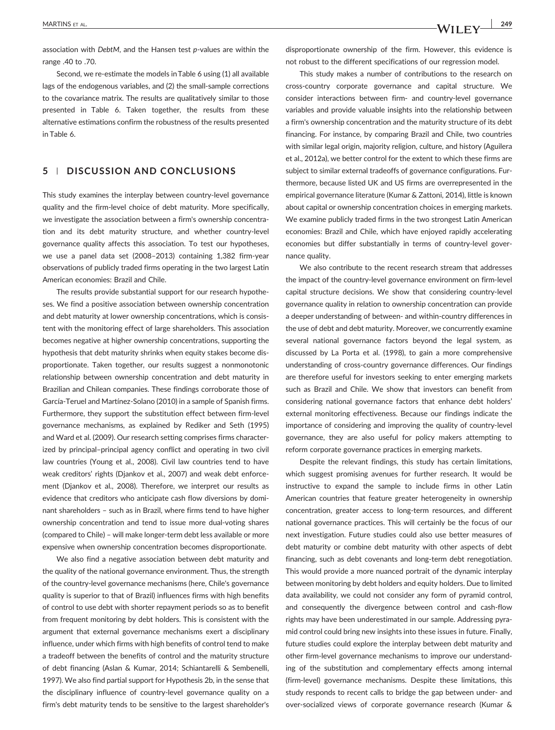association with DebtM, and the Hansen test  $p$ -values are within the range .40 to .70.

Second, we re-estimate the models in Table 6 using (1) all available lags of the endogenous variables, and (2) the small‐sample corrections to the covariance matrix. The results are qualitatively similar to those presented in Table 6. Taken together, the results from these alternative estimations confirm the robustness of the results presented in Table 6.

## 5 | DISCUSSION AND CONCLUSIONS

This study examines the interplay between country‐level governance quality and the firm‐level choice of debt maturity. More specifically, we investigate the association between a firm's ownership concentration and its debt maturity structure, and whether country‐level governance quality affects this association. To test our hypotheses, we use a panel data set (2008–2013) containing 1,382 firm‐year observations of publicly traded firms operating in the two largest Latin American economies: Brazil and Chile.

The results provide substantial support for our research hypotheses. We find a positive association between ownership concentration and debt maturity at lower ownership concentrations, which is consistent with the monitoring effect of large shareholders. This association becomes negative at higher ownership concentrations, supporting the hypothesis that debt maturity shrinks when equity stakes become disproportionate. Taken together, our results suggest a nonmonotonic relationship between ownership concentration and debt maturity in Brazilian and Chilean companies. These findings corroborate those of García‐Teruel and Martínez‐Solano (2010) in a sample of Spanish firms. Furthermore, they support the substitution effect between firm‐level governance mechanisms, as explained by Rediker and Seth (1995) and Ward et al. (2009). Our research setting comprises firms characterized by principal–principal agency conflict and operating in two civil law countries (Young et al., 2008). Civil law countries tend to have weak creditors' rights (Djankov et al., 2007) and weak debt enforcement (Djankov et al., 2008). Therefore, we interpret our results as evidence that creditors who anticipate cash flow diversions by dominant shareholders – such as in Brazil, where firms tend to have higher ownership concentration and tend to issue more dual‐voting shares (compared to Chile) – will make longer‐term debt less available or more expensive when ownership concentration becomes disproportionate.

We also find a negative association between debt maturity and the quality of the national governance environment. Thus, the strength of the country‐level governance mechanisms (here, Chile's governance quality is superior to that of Brazil) influences firms with high benefits of control to use debt with shorter repayment periods so as to benefit from frequent monitoring by debt holders. This is consistent with the argument that external governance mechanisms exert a disciplinary influence, under which firms with high benefits of control tend to make a tradeoff between the benefits of control and the maturity structure of debt financing (Aslan & Kumar, 2014; Schiantarelli & Sembenelli, 1997). We also find partial support for Hypothesis 2b, in the sense that the disciplinary influence of country‐level governance quality on a firm's debt maturity tends to be sensitive to the largest shareholder's disproportionate ownership of the firm. However, this evidence is not robust to the different specifications of our regression model.

This study makes a number of contributions to the research on cross‐country corporate governance and capital structure. We consider interactions between firm‐ and country‐level governance variables and provide valuable insights into the relationship between a firm's ownership concentration and the maturity structure of its debt financing. For instance, by comparing Brazil and Chile, two countries with similar legal origin, majority religion, culture, and history (Aguilera et al., 2012a), we better control for the extent to which these firms are subject to similar external tradeoffs of governance configurations. Furthermore, because listed UK and US firms are overrepresented in the empirical governance literature (Kumar & Zattoni, 2014), little is known about capital or ownership concentration choices in emerging markets. We examine publicly traded firms in the two strongest Latin American economies: Brazil and Chile, which have enjoyed rapidly accelerating economies but differ substantially in terms of country‐level governance quality.

We also contribute to the recent research stream that addresses the impact of the country‐level governance environment on firm‐level capital structure decisions. We show that considering country‐level governance quality in relation to ownership concentration can provide a deeper understanding of between‐ and within‐country differences in the use of debt and debt maturity. Moreover, we concurrently examine several national governance factors beyond the legal system, as discussed by La Porta et al. (1998), to gain a more comprehensive understanding of cross‐country governance differences. Our findings are therefore useful for investors seeking to enter emerging markets such as Brazil and Chile. We show that investors can benefit from considering national governance factors that enhance debt holders' external monitoring effectiveness. Because our findings indicate the importance of considering and improving the quality of country‐level governance, they are also useful for policy makers attempting to reform corporate governance practices in emerging markets.

Despite the relevant findings, this study has certain limitations, which suggest promising avenues for further research. It would be instructive to expand the sample to include firms in other Latin American countries that feature greater heterogeneity in ownership concentration, greater access to long‐term resources, and different national governance practices. This will certainly be the focus of our next investigation. Future studies could also use better measures of debt maturity or combine debt maturity with other aspects of debt financing, such as debt covenants and long-term debt renegotiation. This would provide a more nuanced portrait of the dynamic interplay between monitoring by debt holders and equity holders. Due to limited data availability, we could not consider any form of pyramid control, and consequently the divergence between control and cash-flow rights may have been underestimated in our sample. Addressing pyramid control could bring new insights into these issues in future. Finally, future studies could explore the interplay between debt maturity and other firm‐level governance mechanisms to improve our understanding of the substitution and complementary effects among internal (firm‐level) governance mechanisms. Despite these limitations, this study responds to recent calls to bridge the gap between under‐ and over‐socialized views of corporate governance research (Kumar &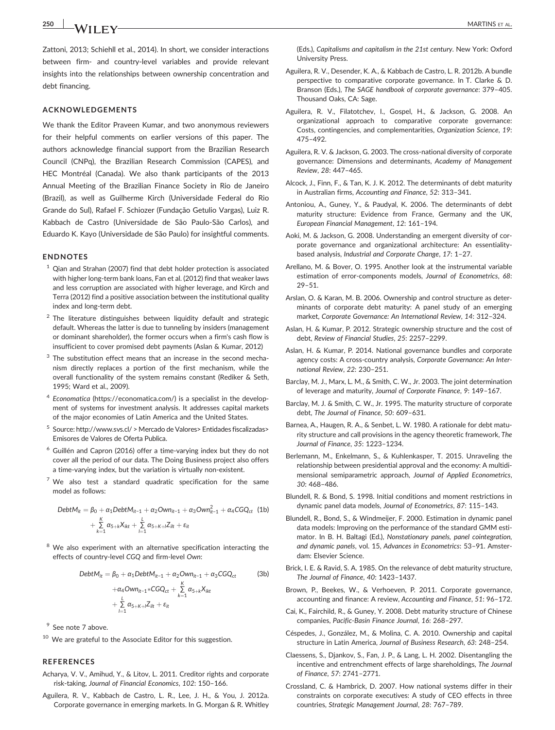**250 MARTINS** ET AL.

Zattoni, 2013; Schiehll et al., 2014). In short, we consider interactions between firm‐ and country‐level variables and provide relevant insights into the relationships between ownership concentration and debt financing.

## ACKNOWLEDGEMENTS

We thank the Editor Praveen Kumar, and two anonymous reviewers for their helpful comments on earlier versions of this paper. The authors acknowledge financial support from the Brazilian Research Council (CNPq), the Brazilian Research Commission (CAPES), and HEC Montréal (Canada). We also thank participants of the 2013 Annual Meeting of the Brazilian Finance Society in Rio de Janeiro (Brazil), as well as Guilherme Kirch (Universidade Federal do Rio Grande do Sul), Rafael F. Schiozer (Fundação Getulio Vargas), Luiz R. Kabbach de Castro (Universidade de São Paulo‐São Carlos), and Eduardo K. Kayo (Universidade de São Paulo) for insightful comments.

#### **ENDNOTES**

- $1$  Qian and Strahan (2007) find that debt holder protection is associated with higher long-term bank loans, Fan et al. (2012) find that weaker laws and less corruption are associated with higher leverage, and Kirch and Terra (2012) find a positive association between the institutional quality index and long‐term debt.
- $2$  The literature distinguishes between liquidity default and strategic default. Whereas the latter is due to tunneling by insiders (management or dominant shareholder), the former occurs when a firm's cash flow is insufficient to cover promised debt payments (Aslan & Kumar, 2012)
- <sup>3</sup> The substitution effect means that an increase in the second mechanism directly replaces a portion of the first mechanism, while the overall functionality of the system remains constant (Rediker & Seth, 1995; Ward et al., 2009).
- Economatica [\(https://economatica.com/](https://economatica.com)) is a specialist in the development of systems for investment analysis. It addresses capital markets of the major economies of Latin America and the United States.
- <sup>5</sup> Source:<http://www.svs.cl>/ > Mercado de Valores> Entidades fiscalizadas> Emisores de Valores de Oferta Publica.
- <sup>6</sup> Guillén and Capron (2016) offer a time‐varying index but they do not cover all the period of our data. The Doing Business project also offers a time‐varying index, but the variation is virtually non‐existent.
- We also test a standard quadratic specification for the same model as follows:

$$
DebtM_{it} = \beta_0 + \alpha_1 DebtM_{it-1} + \alpha_2 Own_{it-1} + \alpha_3 Own_{it-1}^2 + \alpha_4 CGQ_{ct} (1b) + \sum_{k=1}^{K} \alpha_{5+k} X_{ikt} + \sum_{l=1}^{L} \alpha_{5+k+l} Z_{ilt} + \epsilon_{it}
$$

We also experiment with an alternative specification interacting the effects of country‐level CGQ and firm‐level Own:

$$
DebtM_{it} = \beta_0 + \alpha_1 DebtM_{it-1} + \alpha_2 Own_{it-1} + \alpha_3 CGQ_{ct}
$$
 (3b)  
+ $\alpha_4 Ownn_{it-1} * CGQ_{ct} + \sum_{k=1}^{K} \alpha_{5+k} X_{ikt}$   
+ $\sum_{l=1}^{L} \alpha_{5+K+l} Z_{ilt} + \varepsilon_{it}$ 

<sup>9</sup> See note 7 above.

<sup>10</sup> We are grateful to the Associate Editor for this suggestion.

#### **REFERENCES**

- Acharya, V. V., Amihud, Y., & Litov, L. 2011. Creditor rights and corporate risk‐taking, Journal of Financial Economics, 102: 150–166.
- Aguilera, R. V., Kabbach de Castro, L. R., Lee, J. H., & You, J. 2012a. Corporate governance in emerging markets. In G. Morgan & R. Whitley

(Eds.), Capitalisms and capitalism in the 21st century. New York: Oxford University Press.

- Aguilera, R. V., Desender, K. A., & Kabbach de Castro, L. R. 2012b. A bundle perspective to comparative corporate governance. In T. Clarke & D. Branson (Eds.), The SAGE handbook of corporate governance: 379–405. Thousand Oaks, CA: Sage.
- Aguilera, R. V., Filatotchev, I., Gospel, H., & Jackson, G. 2008. An organizational approach to comparative corporate governance: Costs, contingencies, and complementarities, Organization Science, 19: 475–492.
- Aguilera, R. V. & Jackson, G. 2003. The cross-national diversity of corporate governance: Dimensions and determinants, Academy of Management Review, 28: 447–465.
- Alcock, J., Finn, F., & Tan, K. J. K. 2012. The determinants of debt maturity in Australian firms, Accounting and Finance, 52: 313–341.
- Antoniou, A., Guney, Y., & Paudyal, K. 2006. The determinants of debt maturity structure: Evidence from France, Germany and the UK, European Financial Management, 12: 161–194.
- Aoki, M. & Jackson, G. 2008. Understanding an emergent diversity of corporate governance and organizational architecture: An essentialitybased analysis, Industrial and Corporate Change, 17: 1–27.
- Arellano, M. & Bover, O. 1995. Another look at the instrumental variable estimation of error-components models, Journal of Econometrics, 68: 29–51.
- Arslan, O. & Karan, M. B. 2006. Ownership and control structure as determinants of corporate debt maturity: A panel study of an emerging market, Corporate Governance: An International Review, 14: 312–324.
- Aslan, H. & Kumar, P. 2012. Strategic ownership structure and the cost of debt, Review of Financial Studies, 25: 2257–2299.
- Aslan, H. & Kumar, P. 2014. National governance bundles and corporate agency costs: A cross-country analysis, Corporate Governance: An International Review, 22: 230–251.
- Barclay, M. J., Marx, L. M., & Smith, C. W., Jr. 2003. The joint determination of leverage and maturity, Journal of Corporate Finance, 9: 149–167.
- Barclay, M. J. & Smith, C. W., Jr. 1995. The maturity structure of corporate debt, The Journal of Finance, 50: 609–631.
- Barnea, A., Haugen, R. A., & Senbet, L. W. 1980. A rationale for debt maturity structure and call provisions in the agency theoretic framework, The Journal of Finance, 35: 1223–1234.
- Berlemann, M., Enkelmann, S., & Kuhlenkasper, T. 2015. Unraveling the relationship between presidential approval and the economy: A multidimensional semiparametric approach, Journal of Applied Econometrics, 30: 468–486.
- Blundell, R. & Bond, S. 1998. Initial conditions and moment restrictions in dynamic panel data models, Journal of Econometrics, 87: 115–143.
- Blundell, R., Bond, S., & Windmeijer, F. 2000. Estimation in dynamic panel data models: Improving on the performance of the standard GMM estimator. In B. H. Baltagi (Ed.), Nonstationary panels, panel cointegration, and dynamic panels, vol. 15, Advances in Econometrics: 53–91. Amsterdam: Elsevier Science.
- Brick, I. E. & Ravid, S. A. 1985. On the relevance of debt maturity structure, The Journal of Finance, 40: 1423–1437.
- Brown, P., Beekes, W., & Verhoeven, P. 2011. Corporate governance, accounting and finance: A review, Accounting and Finance, 51: 96–172.
- Cai, K., Fairchild, R., & Guney, Y. 2008. Debt maturity structure of Chinese companies, Pacific‐Basin Finance Journal, 16: 268–297.
- Céspedes, J., González, M., & Molina, C. A. 2010. Ownership and capital structure in Latin America, Journal of Business Research, 63: 248–254.
- Claessens, S., Djankov, S., Fan, J. P., & Lang, L. H. 2002. Disentangling the incentive and entrenchment effects of large shareholdings, The Journal of Finance, 57: 2741–2771.
- Crossland, C. & Hambrick, D. 2007. How national systems differ in their constraints on corporate executives: A study of CEO effects in three countries, Strategic Management Journal, 28: 767–789.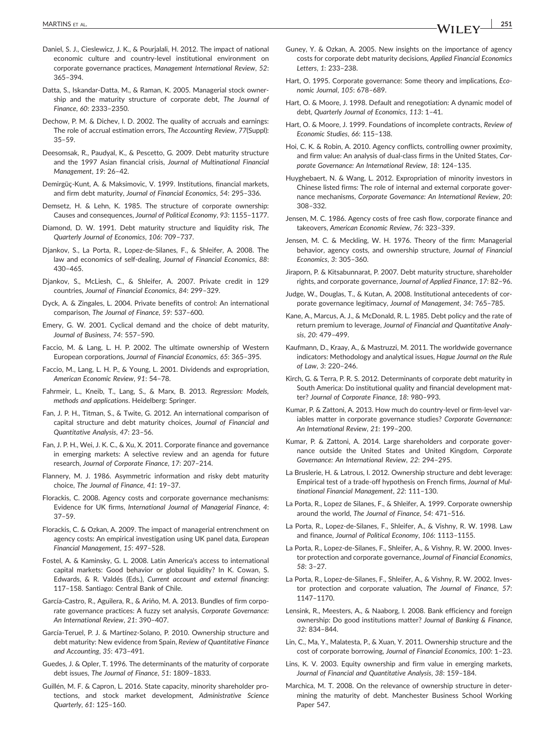- Daniel, S. J., Cieslewicz, J. K., & Pourjalali, H. 2012. The impact of national economic culture and country‐level institutional environment on corporate governance practices, Management International Review, 52: 365–394.
- Datta, S., Iskandar‐Datta, M., & Raman, K. 2005. Managerial stock ownership and the maturity structure of corporate debt, The Journal of Finance, 60: 2333–2350.
- Dechow, P. M. & Dichev, I. D. 2002. The quality of accruals and earnings: The role of accrual estimation errors, The Accounting Review, 77(Suppl): 35–59.
- Deesomsak, R., Paudyal, K., & Pescetto, G. 2009. Debt maturity structure and the 1997 Asian financial crisis, Journal of Multinational Financial Management, 19: 26–42.
- Demirgüç‐Kunt, A. & Maksimovic, V. 1999. Institutions, financial markets, and firm debt maturity, Journal of Financial Economics, 54: 295–336.
- Demsetz, H. & Lehn, K. 1985. The structure of corporate ownership: Causes and consequences, Journal of Political Economy, 93: 1155–1177.
- Diamond, D. W. 1991. Debt maturity structure and liquidity risk, The Quarterly Journal of Economics, 106: 709–737.
- Djankov, S., La Porta, R., Lopez‐de‐Silanes, F., & Shleifer, A. 2008. The law and economics of self-dealing, Journal of Financial Economics, 88: 430–465.
- Djankov, S., McLiesh, C., & Shleifer, A. 2007. Private credit in 129 countries, Journal of Financial Economics, 84: 299–329.
- Dyck, A. & Zingales, L. 2004. Private benefits of control: An international comparison, The Journal of Finance, 59: 537–600.
- Emery, G. W. 2001. Cyclical demand and the choice of debt maturity, Journal of Business, 74: 557–590.
- Faccio, M. & Lang, L. H. P. 2002. The ultimate ownership of Western European corporations, Journal of Financial Economics, 65: 365–395.
- Faccio, M., Lang, L. H. P., & Young, L. 2001. Dividends and expropriation, American Economic Review, 91: 54–78.
- Fahrmeir, L., Kneib, T., Lang, S., & Marx, B. 2013. Regression: Models, methods and applications. Heidelberg: Springer.
- Fan, J. P. H., Titman, S., & Twite, G. 2012. An international comparison of capital structure and debt maturity choices, Journal of Financial and Quantitative Analysis, 47: 23–56.
- Fan, J. P. H., Wei, J. K. C., & Xu, X. 2011. Corporate finance and governance in emerging markets: A selective review and an agenda for future research, Journal of Corporate Finance, 17: 207–214.
- Flannery, M. J. 1986. Asymmetric information and risky debt maturity choice, The Journal of Finance, 41: 19–37.
- Florackis, C. 2008. Agency costs and corporate governance mechanisms: Evidence for UK firms, International Journal of Managerial Finance, 4: 37–59.
- Florackis, C. & Ozkan, A. 2009. The impact of managerial entrenchment on agency costs: An empirical investigation using UK panel data, European Financial Management, 15: 497–528.
- Fostel, A. & Kaminsky, G. L. 2008. Latin America's access to international capital markets: Good behavior or global liquidity? In K. Cowan, S. Edwards, & R. Valdés (Eds.), Current account and external financing: 117–158. Santiago: Central Bank of Chile.
- García‐Castro, R., Aguilera, R., & Ariño, M. A. 2013. Bundles of firm corporate governance practices: A fuzzy set analysis, Corporate Governance: An International Review, 21: 390–407.
- García‐Teruel, P. J. & Martínez‐Solano, P. 2010. Ownership structure and debt maturity: New evidence from Spain, Review of Quantitative Finance and Accounting, 35: 473–491.
- Guedes, J. & Opler, T. 1996. The determinants of the maturity of corporate debt issues, The Journal of Finance, 51: 1809–1833.
- Guillén, M. F. & Capron, L. 2016. State capacity, minority shareholder protections, and stock market development, Administrative Science Quarterly, 61: 125–160.
- Guney, Y. & Ozkan, A. 2005. New insights on the importance of agency costs for corporate debt maturity decisions, Applied Financial Economics Letters, 1: 233–238.
- Hart, O. 1995. Corporate governance: Some theory and implications, Economic Journal, 105: 678–689.
- Hart, O. & Moore, J. 1998. Default and renegotiation: A dynamic model of debt, Quarterly Journal of Economics, 113: 1–41.
- Hart, O. & Moore, J. 1999. Foundations of incomplete contracts, Review of Economic Studies, 66: 115–138.
- Hoi, C. K. & Robin, A. 2010. Agency conflicts, controlling owner proximity, and firm value: An analysis of dual‐class firms in the United States, Corporate Governance: An International Review, 18: 124–135.
- Huyghebaert, N. & Wang, L. 2012. Expropriation of minority investors in Chinese listed firms: The role of internal and external corporate governance mechanisms, Corporate Governance: An International Review, 20: 308–332.
- Jensen, M. C. 1986. Agency costs of free cash flow, corporate finance and takeovers, American Economic Review, 76: 323–339.
- Jensen, M. C. & Meckling, W. H. 1976. Theory of the firm: Managerial behavior, agency costs, and ownership structure, Journal of Financial Economics, 3: 305–360.
- Jiraporn, P. & Kitsabunnarat, P. 2007. Debt maturity structure, shareholder rights, and corporate governance, Journal of Applied Finance, 17: 82–96.
- Judge, W., Douglas, T., & Kutan, A. 2008. Institutional antecedents of corporate governance legitimacy, Journal of Management, 34: 765–785.
- Kane, A., Marcus, A. J., & McDonald, R. L. 1985. Debt policy and the rate of return premium to leverage, Journal of Financial and Quantitative Analysis, 20: 479–499.
- Kaufmann, D., Kraay, A., & Mastruzzi, M. 2011. The worldwide governance indicators: Methodology and analytical issues, Hague Journal on the Rule of Law, 3: 220–246.
- Kirch, G. & Terra, P. R. S. 2012. Determinants of corporate debt maturity in South America: Do institutional quality and financial development matter? Journal of Corporate Finance, 18: 980–993.
- Kumar, P. & Zattoni, A. 2013. How much do country‐level or firm‐level variables matter in corporate governance studies? Corporate Governance: An International Review, 21: 199–200.
- Kumar, P. & Zattoni, A. 2014. Large shareholders and corporate governance outside the United States and United Kingdom, Corporate Governance: An International Review, 22: 294–295.
- La Bruslerie, H. & Latrous, I. 2012. Ownership structure and debt leverage: Empirical test of a trade‐off hypothesis on French firms, Journal of Multinational Financial Management, 22: 111–130.
- La Porta, R., Lopez de Silanes, F., & Shleifer, A. 1999. Corporate ownership around the world, The Journal of Finance, 54: 471–516.
- La Porta, R., Lopez‐de‐Silanes, F., Shleifer, A., & Vishny, R. W. 1998. Law and finance, Journal of Political Economy, 106: 1113–1155.
- La Porta, R., Lopez‐de‐Silanes, F., Shleifer, A., & Vishny, R. W. 2000. Investor protection and corporate governance, Journal of Financial Economics, 58: 3–27.
- La Porta, R., Lopez‐de‐Silanes, F., Shleifer, A., & Vishny, R. W. 2002. Investor protection and corporate valuation, The Journal of Finance, 57: 1147–1170.
- Lensink, R., Meesters, A., & Naaborg, I. 2008. Bank efficiency and foreign ownership: Do good institutions matter? Journal of Banking & Finance, 32: 834–844.
- Lin, C., Ma, Y., Malatesta, P., & Xuan, Y. 2011. Ownership structure and the cost of corporate borrowing, Journal of Financial Economics, 100: 1–23.
- Lins, K. V. 2003. Equity ownership and firm value in emerging markets, Journal of Financial and Quantitative Analysis, 38: 159–184.
- Marchica, M. T. 2008. On the relevance of ownership structure in determining the maturity of debt. Manchester Business School Working Paper 547.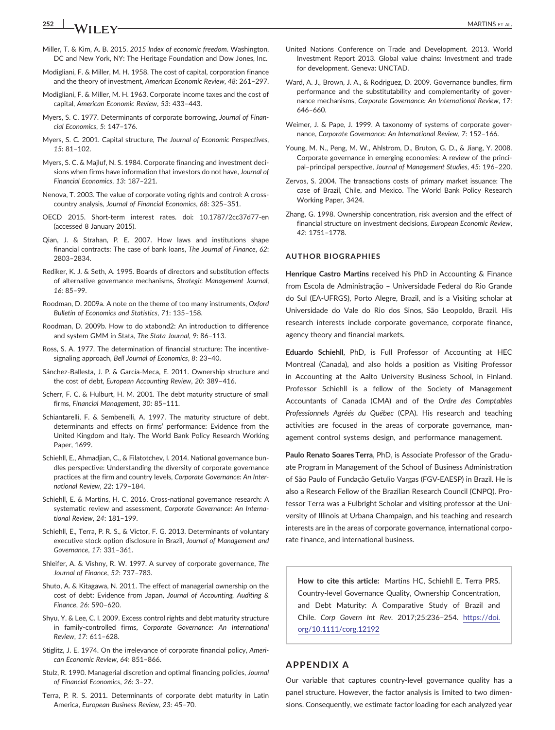- Miller, T. & Kim, A. B. 2015. 2015. Index of economic freedom. Washington, DC and New York, NY: The Heritage Foundation and Dow Jones, Inc.
- Modigliani, F. & Miller, M. H. 1958. The cost of capital, corporation finance and the theory of investment, American Economic Review, 48: 261–297.
- Modigliani, F. & Miller, M. H. 1963. Corporate income taxes and the cost of capital, American Economic Review, 53: 433–443.
- Myers, S. C. 1977. Determinants of corporate borrowing, Journal of Financial Economics, 5: 147–176.
- Myers, S. C. 2001. Capital structure, The Journal of Economic Perspectives, 15: 81–102.
- Myers, S. C. & Majluf, N. S. 1984. Corporate financing and investment decisions when firms have information that investors do not have, Journal of Financial Economics, 13: 187–221.
- Nenova, T. 2003. The value of corporate voting rights and control: A cross‐ country analysis, Journal of Financial Economics, 68: 325–351.
- OECD 2015. Short‐term interest rates. doi: [10.1787/2cc37d77](http://doi.org/10.1787/2cc37d77-en)‐en (accessed 8 January 2015).
- Qian, J. & Strahan, P. E. 2007. How laws and institutions shape financial contracts: The case of bank loans, The Journal of Finance, 62: 2803–2834.
- Rediker, K. J. & Seth, A. 1995. Boards of directors and substitution effects of alternative governance mechanisms, Strategic Management Journal, 16: 85–99.
- Roodman, D. 2009a. A note on the theme of too many instruments, Oxford Bulletin of Economics and Statistics, 71: 135–158.
- Roodman, D. 2009b. How to do xtabond2: An introduction to difference and system GMM in Stata, The Stata Journal, 9: 86–113.
- Ross, S. A. 1977. The determination of financial structure: The incentive‐ signaling approach, Bell Journal of Economics, 8: 23–40.
- Sánchez‐Ballesta, J. P. & García‐Meca, E. 2011. Ownership structure and the cost of debt, European Accounting Review, 20: 389–416.
- Scherr, F. C. & Hulburt, H. M. 2001. The debt maturity structure of small firms, Financial Management, 30: 85–111.
- Schiantarelli, F. & Sembenelli, A. 1997. The maturity structure of debt, determinants and effects on firms' performance: Evidence from the United Kingdom and Italy. The World Bank Policy Research Working Paper, 1699.
- Schiehll, E., Ahmadjian, C., & Filatotchev, I. 2014. National governance bundles perspective: Understanding the diversity of corporate governance practices at the firm and country levels, Corporate Governance: An International Review, 22: 179–184.
- Schiehll, E. & Martins, H. C. 2016. Cross-national governance research: A systematic review and assessment, Corporate Governance: An International Review, 24: 181–199.
- Schiehll, E., Terra, P. R. S., & Victor, F. G. 2013. Determinants of voluntary executive stock option disclosure in Brazil, Journal of Management and Governance, 17: 331–361.
- Shleifer, A. & Vishny, R. W. 1997. A survey of corporate governance, The Journal of Finance, 52: 737–783.
- Shuto, A. & Kitagawa, N. 2011. The effect of managerial ownership on the cost of debt: Evidence from Japan, Journal of Accounting, Auditing & Finance, 26: 590–620.
- Shyu, Y. & Lee, C. I. 2009. Excess control rights and debt maturity structure in family‐controlled firms, Corporate Governance: An International Review, 17: 611–628.
- Stiglitz, J. E. 1974. On the irrelevance of corporate financial policy, American Economic Review, 64: 851–866.
- Stulz, R. 1990. Managerial discretion and optimal financing policies, Journal of Financial Economics, 26: 3–27.
- Terra, P. R. S. 2011. Determinants of corporate debt maturity in Latin America, European Business Review, 23: 45–70.
- United Nations Conference on Trade and Development. 2013. World Investment Report 2013. Global value chains: Investment and trade for development. Geneva: UNCTAD.
- Ward, A. J., Brown, J. A., & Rodriguez, D. 2009. Governance bundles, firm performance and the substitutability and complementarity of governance mechanisms, Corporate Governance: An International Review, 17: 646–660.
- Weimer, J. & Pape, J. 1999. A taxonomy of systems of corporate governance, Corporate Governance: An International Review, 7: 152–166.
- Young, M. N., Peng, M. W., Ahlstrom, D., Bruton, G. D., & Jiang, Y. 2008. Corporate governance in emerging economies: A review of the principal–principal perspective, Journal of Management Studies, 45: 196–220.
- Zervos, S. 2004. The transactions costs of primary market issuance: The case of Brazil, Chile, and Mexico. The World Bank Policy Research Working Paper, 3424.
- Zhang, G. 1998. Ownership concentration, risk aversion and the effect of financial structure on investment decisions, European Economic Review, 42: 1751–1778.

#### AUTHOR BIOGRAPHIES

Henrique Castro Martins received his PhD in Accounting & Finance from Escola de Administração – Universidade Federal do Rio Grande do Sul (EA‐UFRGS), Porto Alegre, Brazil, and is a Visiting scholar at Universidade do Vale do Rio dos Sinos, São Leopoldo, Brazil. His research interests include corporate governance, corporate finance, agency theory and financial markets.

Eduardo Schiehll, PhD, is Full Professor of Accounting at HEC Montreal (Canada), and also holds a position as Visiting Professor in Accounting at the Aalto University Business School, in Finland. Professor Schiehll is a fellow of the Society of Management Accountants of Canada (CMA) and of the Ordre des Comptables Professionnels Agréés du Québec (CPA). His research and teaching activities are focused in the areas of corporate governance, management control systems design, and performance management.

Paulo Renato Soares Terra, PhD, is Associate Professor of the Graduate Program in Management of the School of Business Administration of São Paulo of Fundação Getulio Vargas (FGV‐EAESP) in Brazil. He is also a Research Fellow of the Brazilian Research Council (CNPQ). Professor Terra was a Fulbright Scholar and visiting professor at the University of Illinois at Urbana Champaign, and his teaching and research interests are in the areas of corporate governance, international corporate finance, and international business.

How to cite this article: Martins HC, Schiehll E, Terra PRS. Country‐level Governance Quality, Ownership Concentration, and Debt Maturity: A Comparative Study of Brazil and Chile. Corp Govern Int Rev. 2017;25:236–254. [https://doi.](https://doi.org/10.1111/corg.12192) [org/10.1111/corg.12192](https://doi.org/10.1111/corg.12192)

# APPENDIX A

Our variable that captures country‐level governance quality has a panel structure. However, the factor analysis is limited to two dimensions. Consequently, we estimate factor loading for each analyzed year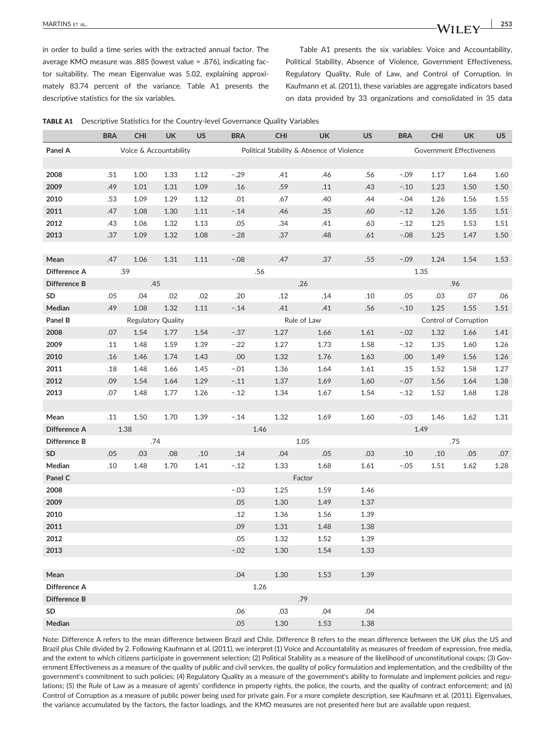in order to build a time series with the extracted annual factor. The average KMO measure was .885 (lowest value = .876), indicating factor suitability. The mean Eigenvalue was 5.02, explaining approximately 83.74 percent of the variance. Table A1 presents the descriptive statistics for the six variables.

Table A1 presents the six variables: Voice and Accountability, Political Stability, Absence of Violence, Government Effectiveness, Regulatory Quality, Rule of Law, and Control of Corruption. In Kaufmann et al. (2011), these variables are aggregate indicators based on data provided by 33 organizations and consolidated in 35 data

|  | <b>TABLE A1</b> Descriptive Statistics for the Country-level Governance Quality Variables |  |  |  |
|--|-------------------------------------------------------------------------------------------|--|--|--|
|--|-------------------------------------------------------------------------------------------|--|--|--|

| Voice & Accountability<br>Political Stability & Absence of Violence<br><b>Government Effectiveness</b><br>Panel A<br>2008<br>.51<br>1.00<br>1.33<br>1.12<br>$-.29$<br>$-.09$<br>1.17<br>1.64<br>1.60<br>.41<br>.46<br>.56<br>2009<br>.49<br>1.01<br>1.31<br>1.09<br>.16<br>.59<br>.11<br>.43<br>$-.10$<br>1.23<br>1.50<br>1.50<br>.01<br>1.55<br>2010<br>.53<br>1.09<br>1.29<br>1.12<br>.67<br>.40<br>.44<br>$-.04$<br>1.26<br>1.56<br>2011<br>.47<br>1.08<br>1.30<br>1.11<br>$-.14$<br>.46<br>.35<br>.60<br>1.26<br>1.55<br>1.51<br>$-.12$<br>.05<br>.34<br>2012<br>.43<br>1.06<br>1.32<br>1.13<br>.41<br>.63<br>$-.12$<br>1.25<br>1.53<br>1.51<br>2013<br>1.32<br>1.08<br>$-.28$<br>.37<br>.48<br>$-.08$<br>1.50<br>.37<br>1.09<br>.61<br>1.25<br>1.47<br>.47<br>1.06<br>1.31<br>1.11<br>$-.08$<br>.47<br>.37<br>.55<br>$-.09$<br>1.24<br>1.54<br>1.53<br>Mean<br>.59<br>.56<br>1.35<br>Difference A<br>.45<br>.26<br>.96<br>Difference B<br>SD<br>.04<br>.02<br>.20<br>.12<br>.03<br>.05<br>.02<br>.14<br>.10<br>.05<br>.07<br>.06<br>Median<br>.49<br>1.08<br>1.32<br>1.11<br>$-.14$<br>.41<br>.41<br>.56<br>$-.10$<br>1.25<br>1.55<br>1.51<br>Panel B<br>Regulatory Quality<br>Rule of Law<br>Control of Corruption<br>2008<br>.07<br>1.54<br>1.77<br>1.54<br>$-.37$<br>1.27<br>1.66<br>1.61<br>$-.02$<br>1.32<br>1.66<br>1.41<br>2009<br>1.48<br>1.59<br>1.39<br>$-.22$<br>1.27<br>1.73<br>1.58<br>$-.12$<br>1.35<br>1.60<br>1.26<br>.11<br>.00<br>2010<br>.16<br>1.46<br>1.43<br>1.32<br>1.76<br>1.63<br>.00<br>1.26<br>1.74<br>1.49<br>1.56<br>$-.01$<br>2011<br>.18<br>1.48<br>1.66<br>1.45<br>1.36<br>1.64<br>1.61<br>.15<br>1.52<br>1.58<br>1.27<br>2012<br>.09<br>1.54<br>1.64<br>1.29<br>$-.11$<br>1.37<br>1.69<br>1.60<br>$-.07$<br>1.38<br>1.56<br>1.64<br>$-.12$<br>2013<br>.07<br>1.48<br>1.26<br>1.34<br>1.67<br>1.54<br>$-.12$<br>1.52<br>1.28<br>1.77<br>1.68<br>1.50<br>1.32<br>.11<br>1.70<br>1.39<br>$-.14$<br>1.69<br>1.60<br>$-.03$<br>1.62<br>1.31<br>Mean<br>1.46<br>1.38<br>1.46<br>1.49<br>Difference A<br>Difference B<br>.74<br>1.05<br>.75 | <b>BRA</b> | <b>CHI</b> | <b>UK</b> | <b>US</b> | <b>BRA</b> | <b>CHI</b> | <b>UK</b> | <b>US</b> | <b>BRA</b> | <b>CHI</b> | <b>UK</b> | <b>US</b> |
|----------------------------------------------------------------------------------------------------------------------------------------------------------------------------------------------------------------------------------------------------------------------------------------------------------------------------------------------------------------------------------------------------------------------------------------------------------------------------------------------------------------------------------------------------------------------------------------------------------------------------------------------------------------------------------------------------------------------------------------------------------------------------------------------------------------------------------------------------------------------------------------------------------------------------------------------------------------------------------------------------------------------------------------------------------------------------------------------------------------------------------------------------------------------------------------------------------------------------------------------------------------------------------------------------------------------------------------------------------------------------------------------------------------------------------------------------------------------------------------------------------------------------------------------------------------------------------------------------------------------------------------------------------------------------------------------------------------------------------------------------------------------------------------------------------------------------------------------------------------------------------------------------------------------------------------------------------------------------------------------------------------------------------------------------------------------------|------------|------------|-----------|-----------|------------|------------|-----------|-----------|------------|------------|-----------|-----------|
|                                                                                                                                                                                                                                                                                                                                                                                                                                                                                                                                                                                                                                                                                                                                                                                                                                                                                                                                                                                                                                                                                                                                                                                                                                                                                                                                                                                                                                                                                                                                                                                                                                                                                                                                                                                                                                                                                                                                                                                                                                                                            |            |            |           |           |            |            |           |           |            |            |           |           |
|                                                                                                                                                                                                                                                                                                                                                                                                                                                                                                                                                                                                                                                                                                                                                                                                                                                                                                                                                                                                                                                                                                                                                                                                                                                                                                                                                                                                                                                                                                                                                                                                                                                                                                                                                                                                                                                                                                                                                                                                                                                                            |            |            |           |           |            |            |           |           |            |            |           |           |
|                                                                                                                                                                                                                                                                                                                                                                                                                                                                                                                                                                                                                                                                                                                                                                                                                                                                                                                                                                                                                                                                                                                                                                                                                                                                                                                                                                                                                                                                                                                                                                                                                                                                                                                                                                                                                                                                                                                                                                                                                                                                            |            |            |           |           |            |            |           |           |            |            |           |           |
|                                                                                                                                                                                                                                                                                                                                                                                                                                                                                                                                                                                                                                                                                                                                                                                                                                                                                                                                                                                                                                                                                                                                                                                                                                                                                                                                                                                                                                                                                                                                                                                                                                                                                                                                                                                                                                                                                                                                                                                                                                                                            |            |            |           |           |            |            |           |           |            |            |           |           |
|                                                                                                                                                                                                                                                                                                                                                                                                                                                                                                                                                                                                                                                                                                                                                                                                                                                                                                                                                                                                                                                                                                                                                                                                                                                                                                                                                                                                                                                                                                                                                                                                                                                                                                                                                                                                                                                                                                                                                                                                                                                                            |            |            |           |           |            |            |           |           |            |            |           |           |
|                                                                                                                                                                                                                                                                                                                                                                                                                                                                                                                                                                                                                                                                                                                                                                                                                                                                                                                                                                                                                                                                                                                                                                                                                                                                                                                                                                                                                                                                                                                                                                                                                                                                                                                                                                                                                                                                                                                                                                                                                                                                            |            |            |           |           |            |            |           |           |            |            |           |           |
|                                                                                                                                                                                                                                                                                                                                                                                                                                                                                                                                                                                                                                                                                                                                                                                                                                                                                                                                                                                                                                                                                                                                                                                                                                                                                                                                                                                                                                                                                                                                                                                                                                                                                                                                                                                                                                                                                                                                                                                                                                                                            |            |            |           |           |            |            |           |           |            |            |           |           |
|                                                                                                                                                                                                                                                                                                                                                                                                                                                                                                                                                                                                                                                                                                                                                                                                                                                                                                                                                                                                                                                                                                                                                                                                                                                                                                                                                                                                                                                                                                                                                                                                                                                                                                                                                                                                                                                                                                                                                                                                                                                                            |            |            |           |           |            |            |           |           |            |            |           |           |
|                                                                                                                                                                                                                                                                                                                                                                                                                                                                                                                                                                                                                                                                                                                                                                                                                                                                                                                                                                                                                                                                                                                                                                                                                                                                                                                                                                                                                                                                                                                                                                                                                                                                                                                                                                                                                                                                                                                                                                                                                                                                            |            |            |           |           |            |            |           |           |            |            |           |           |
|                                                                                                                                                                                                                                                                                                                                                                                                                                                                                                                                                                                                                                                                                                                                                                                                                                                                                                                                                                                                                                                                                                                                                                                                                                                                                                                                                                                                                                                                                                                                                                                                                                                                                                                                                                                                                                                                                                                                                                                                                                                                            |            |            |           |           |            |            |           |           |            |            |           |           |
|                                                                                                                                                                                                                                                                                                                                                                                                                                                                                                                                                                                                                                                                                                                                                                                                                                                                                                                                                                                                                                                                                                                                                                                                                                                                                                                                                                                                                                                                                                                                                                                                                                                                                                                                                                                                                                                                                                                                                                                                                                                                            |            |            |           |           |            |            |           |           |            |            |           |           |
|                                                                                                                                                                                                                                                                                                                                                                                                                                                                                                                                                                                                                                                                                                                                                                                                                                                                                                                                                                                                                                                                                                                                                                                                                                                                                                                                                                                                                                                                                                                                                                                                                                                                                                                                                                                                                                                                                                                                                                                                                                                                            |            |            |           |           |            |            |           |           |            |            |           |           |
|                                                                                                                                                                                                                                                                                                                                                                                                                                                                                                                                                                                                                                                                                                                                                                                                                                                                                                                                                                                                                                                                                                                                                                                                                                                                                                                                                                                                                                                                                                                                                                                                                                                                                                                                                                                                                                                                                                                                                                                                                                                                            |            |            |           |           |            |            |           |           |            |            |           |           |
|                                                                                                                                                                                                                                                                                                                                                                                                                                                                                                                                                                                                                                                                                                                                                                                                                                                                                                                                                                                                                                                                                                                                                                                                                                                                                                                                                                                                                                                                                                                                                                                                                                                                                                                                                                                                                                                                                                                                                                                                                                                                            |            |            |           |           |            |            |           |           |            |            |           |           |
|                                                                                                                                                                                                                                                                                                                                                                                                                                                                                                                                                                                                                                                                                                                                                                                                                                                                                                                                                                                                                                                                                                                                                                                                                                                                                                                                                                                                                                                                                                                                                                                                                                                                                                                                                                                                                                                                                                                                                                                                                                                                            |            |            |           |           |            |            |           |           |            |            |           |           |
|                                                                                                                                                                                                                                                                                                                                                                                                                                                                                                                                                                                                                                                                                                                                                                                                                                                                                                                                                                                                                                                                                                                                                                                                                                                                                                                                                                                                                                                                                                                                                                                                                                                                                                                                                                                                                                                                                                                                                                                                                                                                            |            |            |           |           |            |            |           |           |            |            |           |           |
|                                                                                                                                                                                                                                                                                                                                                                                                                                                                                                                                                                                                                                                                                                                                                                                                                                                                                                                                                                                                                                                                                                                                                                                                                                                                                                                                                                                                                                                                                                                                                                                                                                                                                                                                                                                                                                                                                                                                                                                                                                                                            |            |            |           |           |            |            |           |           |            |            |           |           |
|                                                                                                                                                                                                                                                                                                                                                                                                                                                                                                                                                                                                                                                                                                                                                                                                                                                                                                                                                                                                                                                                                                                                                                                                                                                                                                                                                                                                                                                                                                                                                                                                                                                                                                                                                                                                                                                                                                                                                                                                                                                                            |            |            |           |           |            |            |           |           |            |            |           |           |
|                                                                                                                                                                                                                                                                                                                                                                                                                                                                                                                                                                                                                                                                                                                                                                                                                                                                                                                                                                                                                                                                                                                                                                                                                                                                                                                                                                                                                                                                                                                                                                                                                                                                                                                                                                                                                                                                                                                                                                                                                                                                            |            |            |           |           |            |            |           |           |            |            |           |           |
|                                                                                                                                                                                                                                                                                                                                                                                                                                                                                                                                                                                                                                                                                                                                                                                                                                                                                                                                                                                                                                                                                                                                                                                                                                                                                                                                                                                                                                                                                                                                                                                                                                                                                                                                                                                                                                                                                                                                                                                                                                                                            |            |            |           |           |            |            |           |           |            |            |           |           |
|                                                                                                                                                                                                                                                                                                                                                                                                                                                                                                                                                                                                                                                                                                                                                                                                                                                                                                                                                                                                                                                                                                                                                                                                                                                                                                                                                                                                                                                                                                                                                                                                                                                                                                                                                                                                                                                                                                                                                                                                                                                                            |            |            |           |           |            |            |           |           |            |            |           |           |
|                                                                                                                                                                                                                                                                                                                                                                                                                                                                                                                                                                                                                                                                                                                                                                                                                                                                                                                                                                                                                                                                                                                                                                                                                                                                                                                                                                                                                                                                                                                                                                                                                                                                                                                                                                                                                                                                                                                                                                                                                                                                            |            |            |           |           |            |            |           |           |            |            |           |           |
|                                                                                                                                                                                                                                                                                                                                                                                                                                                                                                                                                                                                                                                                                                                                                                                                                                                                                                                                                                                                                                                                                                                                                                                                                                                                                                                                                                                                                                                                                                                                                                                                                                                                                                                                                                                                                                                                                                                                                                                                                                                                            |            |            |           |           |            |            |           |           |            |            |           |           |
|                                                                                                                                                                                                                                                                                                                                                                                                                                                                                                                                                                                                                                                                                                                                                                                                                                                                                                                                                                                                                                                                                                                                                                                                                                                                                                                                                                                                                                                                                                                                                                                                                                                                                                                                                                                                                                                                                                                                                                                                                                                                            |            |            |           |           |            |            |           |           |            |            |           |           |
|                                                                                                                                                                                                                                                                                                                                                                                                                                                                                                                                                                                                                                                                                                                                                                                                                                                                                                                                                                                                                                                                                                                                                                                                                                                                                                                                                                                                                                                                                                                                                                                                                                                                                                                                                                                                                                                                                                                                                                                                                                                                            |            |            |           |           |            |            |           |           |            |            |           |           |
| .05<br>SD<br>.08<br>.10<br>.14<br>.04<br>.05<br>.07<br>.05<br>.03<br>.03<br>.10<br>.10                                                                                                                                                                                                                                                                                                                                                                                                                                                                                                                                                                                                                                                                                                                                                                                                                                                                                                                                                                                                                                                                                                                                                                                                                                                                                                                                                                                                                                                                                                                                                                                                                                                                                                                                                                                                                                                                                                                                                                                     |            |            |           |           |            |            |           |           |            |            |           |           |
| Median<br>.10<br>1.48<br>1.70<br>1.41<br>$-.12$<br>1.33<br>1.68<br>1.61<br>$-.05$<br>1.51<br>1.62<br>1.28                                                                                                                                                                                                                                                                                                                                                                                                                                                                                                                                                                                                                                                                                                                                                                                                                                                                                                                                                                                                                                                                                                                                                                                                                                                                                                                                                                                                                                                                                                                                                                                                                                                                                                                                                                                                                                                                                                                                                                  |            |            |           |           |            |            |           |           |            |            |           |           |
| Panel C<br>Factor                                                                                                                                                                                                                                                                                                                                                                                                                                                                                                                                                                                                                                                                                                                                                                                                                                                                                                                                                                                                                                                                                                                                                                                                                                                                                                                                                                                                                                                                                                                                                                                                                                                                                                                                                                                                                                                                                                                                                                                                                                                          |            |            |           |           |            |            |           |           |            |            |           |           |
| 2008<br>$-.03$<br>1.25<br>1.59<br>1.46                                                                                                                                                                                                                                                                                                                                                                                                                                                                                                                                                                                                                                                                                                                                                                                                                                                                                                                                                                                                                                                                                                                                                                                                                                                                                                                                                                                                                                                                                                                                                                                                                                                                                                                                                                                                                                                                                                                                                                                                                                     |            |            |           |           |            |            |           |           |            |            |           |           |
| .05<br>2009<br>1.30<br>1.49<br>1.37                                                                                                                                                                                                                                                                                                                                                                                                                                                                                                                                                                                                                                                                                                                                                                                                                                                                                                                                                                                                                                                                                                                                                                                                                                                                                                                                                                                                                                                                                                                                                                                                                                                                                                                                                                                                                                                                                                                                                                                                                                        |            |            |           |           |            |            |           |           |            |            |           |           |
| 2010<br>.12<br>1.36<br>1.56<br>1.39                                                                                                                                                                                                                                                                                                                                                                                                                                                                                                                                                                                                                                                                                                                                                                                                                                                                                                                                                                                                                                                                                                                                                                                                                                                                                                                                                                                                                                                                                                                                                                                                                                                                                                                                                                                                                                                                                                                                                                                                                                        |            |            |           |           |            |            |           |           |            |            |           |           |
| .09<br>2011<br>1.31<br>1.48<br>1.38                                                                                                                                                                                                                                                                                                                                                                                                                                                                                                                                                                                                                                                                                                                                                                                                                                                                                                                                                                                                                                                                                                                                                                                                                                                                                                                                                                                                                                                                                                                                                                                                                                                                                                                                                                                                                                                                                                                                                                                                                                        |            |            |           |           |            |            |           |           |            |            |           |           |
| 2012<br>.05<br>1.32<br>1.52<br>1.39                                                                                                                                                                                                                                                                                                                                                                                                                                                                                                                                                                                                                                                                                                                                                                                                                                                                                                                                                                                                                                                                                                                                                                                                                                                                                                                                                                                                                                                                                                                                                                                                                                                                                                                                                                                                                                                                                                                                                                                                                                        |            |            |           |           |            |            |           |           |            |            |           |           |
| 2013<br>$-.02$<br>1.30<br>1.54<br>1.33                                                                                                                                                                                                                                                                                                                                                                                                                                                                                                                                                                                                                                                                                                                                                                                                                                                                                                                                                                                                                                                                                                                                                                                                                                                                                                                                                                                                                                                                                                                                                                                                                                                                                                                                                                                                                                                                                                                                                                                                                                     |            |            |           |           |            |            |           |           |            |            |           |           |
| .04<br>1.30<br>1.53                                                                                                                                                                                                                                                                                                                                                                                                                                                                                                                                                                                                                                                                                                                                                                                                                                                                                                                                                                                                                                                                                                                                                                                                                                                                                                                                                                                                                                                                                                                                                                                                                                                                                                                                                                                                                                                                                                                                                                                                                                                        |            |            |           |           |            |            |           |           |            |            |           |           |
| Mean<br>1.39                                                                                                                                                                                                                                                                                                                                                                                                                                                                                                                                                                                                                                                                                                                                                                                                                                                                                                                                                                                                                                                                                                                                                                                                                                                                                                                                                                                                                                                                                                                                                                                                                                                                                                                                                                                                                                                                                                                                                                                                                                                               |            |            |           |           |            |            |           |           |            |            |           |           |
| Difference A<br>1.26                                                                                                                                                                                                                                                                                                                                                                                                                                                                                                                                                                                                                                                                                                                                                                                                                                                                                                                                                                                                                                                                                                                                                                                                                                                                                                                                                                                                                                                                                                                                                                                                                                                                                                                                                                                                                                                                                                                                                                                                                                                       |            |            |           |           |            |            |           |           |            |            |           |           |
| .79<br>Difference B<br>SD<br>.06<br>.03<br>.04<br>.04                                                                                                                                                                                                                                                                                                                                                                                                                                                                                                                                                                                                                                                                                                                                                                                                                                                                                                                                                                                                                                                                                                                                                                                                                                                                                                                                                                                                                                                                                                                                                                                                                                                                                                                                                                                                                                                                                                                                                                                                                      |            |            |           |           |            |            |           |           |            |            |           |           |
| .05<br>Median<br>1.30<br>1.53<br>1.38                                                                                                                                                                                                                                                                                                                                                                                                                                                                                                                                                                                                                                                                                                                                                                                                                                                                                                                                                                                                                                                                                                                                                                                                                                                                                                                                                                                                                                                                                                                                                                                                                                                                                                                                                                                                                                                                                                                                                                                                                                      |            |            |           |           |            |            |           |           |            |            |           |           |

Note: Difference A refers to the mean difference between Brazil and Chile. Difference B refers to the mean difference between the UK plus the US and Brazil plus Chile divided by 2. Following Kaufmann et al. (2011), we interpret (1) Voice and Accountability as measures of freedom of expression, free media, and the extent to which citizens participate in government selection; (2) Political Stability as a measure of the likelihood of unconstitutional coups; (3) Government Effectiveness as a measure of the quality of public and civil services, the quality of policy formulation and implementation, and the credibility of the government's commitment to such policies; (4) Regulatory Quality as a measure of the government's ability to formulate and implement policies and regulations; (5) the Rule of Law as a measure of agents' confidence in property rights, the police, the courts, and the quality of contract enforcement; and (6) Control of Corruption as a measure of public power being used for private gain. For a more complete description, see Kaufmann et al. (2011). Eigenvalues, the variance accumulated by the factors, the factor loadings, and the KMO measures are not presented here but are available upon request.